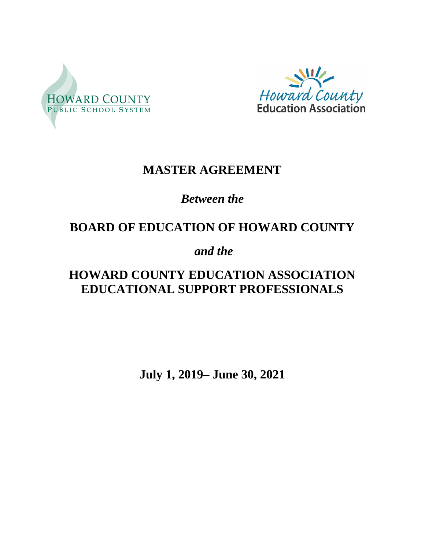



# **MASTER AGREEMENT**

# *Between the*

# **BOARD OF EDUCATION OF HOWARD COUNTY**

# *and the*

# **HOWARD COUNTY EDUCATION ASSOCIATION EDUCATIONAL SUPPORT PROFESSIONALS**

**July 1, 2019– June 30, 2021**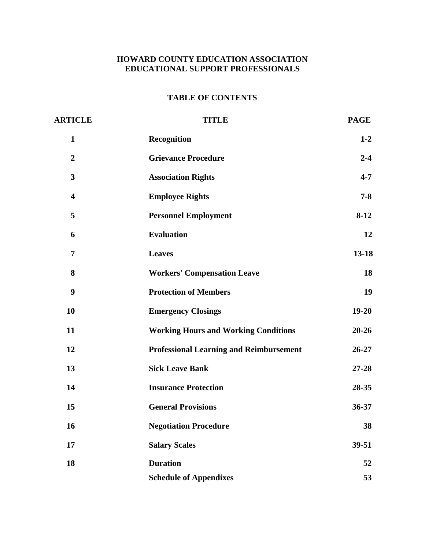## **HOWARD COUNTY EDUCATION ASSOCIATION EDUCATIONAL SUPPORT PROFESSIONALS**

## **TABLE OF CONTENTS**

| <b>ARTICLE</b>          | <b>TITLE</b>                                   | <b>PAGE</b> |
|-------------------------|------------------------------------------------|-------------|
| $\mathbf{1}$            | Recognition                                    | $1-2$       |
| $\boldsymbol{2}$        | <b>Grievance Procedure</b>                     | $2 - 4$     |
| 3                       | <b>Association Rights</b>                      | $4 - 7$     |
| $\overline{\mathbf{4}}$ | <b>Employee Rights</b>                         | $7 - 8$     |
| 5                       | <b>Personnel Employment</b>                    | $8-12$      |
| 6                       | <b>Evaluation</b>                              | 12          |
| 7                       | <b>Leaves</b>                                  | $13 - 18$   |
| 8                       | <b>Workers' Compensation Leave</b>             | 18          |
| $\boldsymbol{9}$        | <b>Protection of Members</b>                   | 19          |
| 10                      | <b>Emergency Closings</b>                      | $19 - 20$   |
| 11                      | <b>Working Hours and Working Conditions</b>    | $20 - 26$   |
| 12                      | <b>Professional Learning and Reimbursement</b> | $26 - 27$   |
| 13                      | <b>Sick Leave Bank</b>                         | $27 - 28$   |
| 14                      | <b>Insurance Protection</b>                    | 28-35       |
| 15                      | <b>General Provisions</b>                      | 36-37       |
| 16                      | <b>Negotiation Procedure</b>                   | 38          |
| 17                      | <b>Salary Scales</b>                           | $39 - 51$   |
| 18                      | <b>Duration</b>                                | 52          |
|                         | <b>Schedule of Appendixes</b>                  | 53          |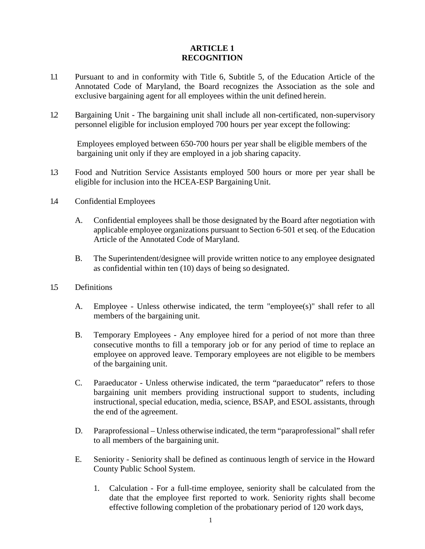#### **ARTICLE 1 RECOGNITION**

- exclusive bargaining agent for all employees within the unit defined herein. 1.1 Pursuant to and in conformity with Title 6, Subtitle 5, of the Education Article of the Annotated Code of Maryland, the Board recognizes the Association as the sole and
- personnel eligible for inclusion employed 700 hours per year except the following: 1.2 Bargaining Unit - The bargaining unit shall include all non-certificated, non-supervisory

 bargaining unit only if they are employed in a job sharing capacity. Employees employed between 650-700 hours per year shall be eligible members of the

- eligible for inclusion into the HCEA-ESP Bargaining Unit. 1.3 Food and Nutrition Service Assistants employed 500 hours or more per year shall be
- 1.4 Confidential Employees
	- A. Confidential employees shall be those designated by the Board after negotiation with applicable employee organizations pursuant to Section 6-501 et seq. of the Education Article of the Annotated Code of Maryland.
	- B. The Superintendent/designee will provide written notice to any employee designated as confidential within ten (10) days of being so designated.
- 1.5 Definitions
	- members of the bargaining unit. A. Employee - Unless otherwise indicated, the term "employee(s)" shall refer to all
	- employee on approved leave. Temporary employees are not eligible to be members of the bargaining unit. B. Temporary Employees - Any employee hired for a period of not more than three consecutive months to fill a temporary job or for any period of time to replace an
	- instructional, special education, media, science, BSAP, and ESOL assistants, through the end of the agreement. C. Paraeducator - Unless otherwise indicated, the term "paraeducator" refers to those bargaining unit members providing instructional support to students, including
	- D. Paraprofessional Unless otherwise indicated, the term "paraprofessional" shall refer to all members of the bargaining unit.
	- E. Seniority Seniority shall be defined as continuous length of service in the Howard County Public School System.
		- 1. Calculation For a full-time employee, seniority shall be calculated from the date that the employee first reported to work. Seniority rights shall become effective following completion of the probationary period of 120 work days,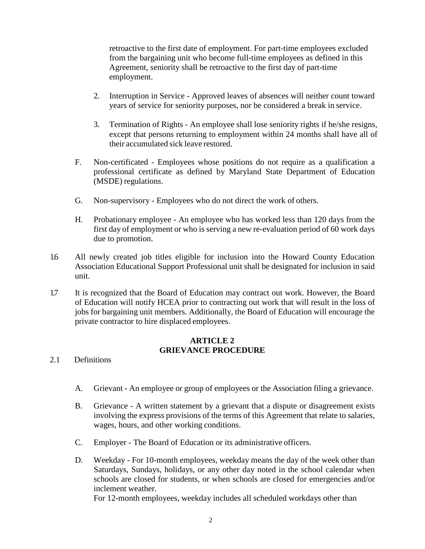retroactive to the first date of employment. For part-time employees excluded from the bargaining unit who become full-time employees as defined in this Agreement, seniority shall be retroactive to the first day of part-time employment.

- 2. Interruption in Service Approved leaves of absences will neither count toward years of service for seniority purposes, nor be considered a break in service.
- 3. Termination of Rights An employee shall lose seniority rights if he/she resigns, their accumulated sick leave restored. except that persons returning to employment within 24 months shall have all of
- (MSDE) regulations. F. Non-certificated - Employees whose positions do not require as a qualification a professional certificate as defined by Maryland State Department of Education
- G. Non-supervisory Employees who do not direct the work of others.
- H. Probationary employee An employee who has worked less than 120 days from the first day of employment or who is serving a new re-evaluation period of 60 work days due to promotion.
- 1.6 All newly created job titles eligible for inclusion into the Howard County Education Association Educational Support Professional unit shall be designated for inclusion in said unit.
- private contractor to hire displaced employees. 1.7 It is recognized that the Board of Education may contract out work. However, the Board of Education will notify HCEA prior to contracting out work that will result in the loss of jobs for bargaining unit members. Additionally, the Board of Education will encourage the

#### **ARTICLE 2 GRIEVANCE PROCEDURE**

- 2.1 Definitions
	- A. Grievant An employee or group of employees or the Association filing a grievance.
	- B. Grievance A written statement by a grievant that a dispute or disagreement exists involving the express provisions of the terms of this Agreement that relate to salaries, wages, hours, and other working conditions.
	- C. Employer The Board of Education or its administrative officers.
	- Saturdays, Sundays, holidays, or any other day noted in the school calendar when inclement weather. D. Weekday - For 10-month employees, weekday means the day of the week other than schools are closed for students, or when schools are closed for emergencies and/or

For 12-month employees, weekday includes all scheduled workdays other than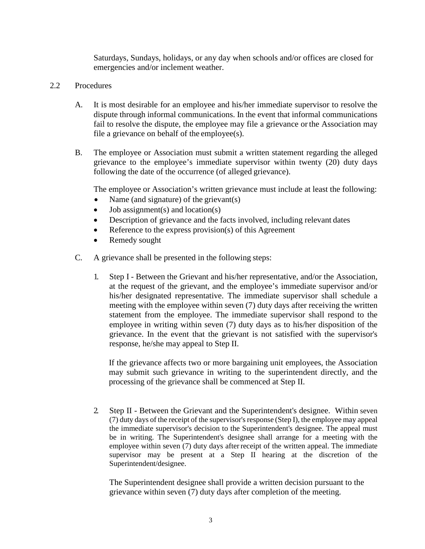Saturdays, Sundays, holidays, or any day when schools and/or offices are closed for emergencies and/or inclement weather.

#### 2.2 Procedures

- fail to resolve the dispute, the employee may file a grievance or the Association may A. It is most desirable for an employee and his/her immediate supervisor to resolve the dispute through informal communications. In the event that informal communications file a grievance on behalf of the employee(s).
- following the date of the occurrence (of alleged grievance). B. The employee or Association must submit a written statement regarding the alleged grievance to the employee's immediate supervisor within twenty (20) duty days

The employee or Association's written grievance must include at least the following:

- Name (and signature) of the grievant(s)
- Job assignment(s) and location(s)
- Description of grievance and the facts involved, including relevant dates
- Reference to the express provision(s) of this Agreement
- Remedy sought
- C. A grievance shall be presented in the following steps:
	- 1. Step I Between the Grievant and his/her representative, and/or the Association, meeting with the employee within seven (7) duty days after receiving the written employee in writing within seven (7) duty days as to his/her disposition of the response, he/she may appeal to Step II. at the request of the grievant, and the employee's immediate supervisor and/or his/her designated representative. The immediate supervisor shall schedule a statement from the employee. The immediate supervisor shall respond to the grievance. In the event that the grievant is not satisfied with the supervisor's

If the grievance affects two or more bargaining unit employees, the Association may submit such grievance in writing to the superintendent directly, and the processing of the grievance shall be commenced at Step II.

 (7) duty days of the receipt of the supervisor's response (Step I), the employee may appeal the immediate supervisor's decision to the Superintendent's designee. The appeal must 2. Step II - Between the Grievant and the Superintendent's designee. Within seven be in writing. The Superintendent's designee shall arrange for a meeting with the employee within seven (7) duty days after receipt of the written appeal. The immediate supervisor may be present at a Step II hearing at the discretion of the Superintendent/designee.

 grievance within seven (7) duty days after completion of the meeting. The Superintendent designee shall provide a written decision pursuant to the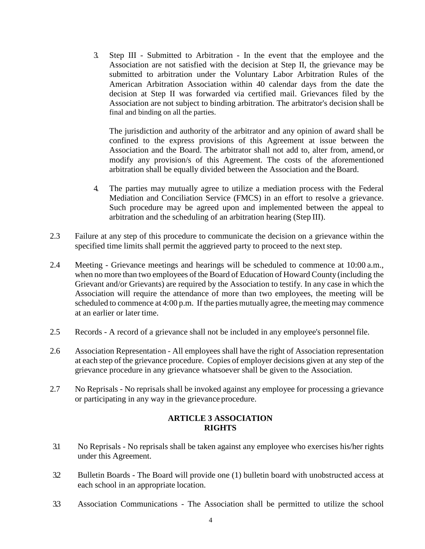decision at Step II was forwarded via certified mail. Grievances filed by the Association are not subject to binding arbitration. The arbitrator's decision shall be final and binding on all the parties. 3. Step III - Submitted to Arbitration - In the event that the employee and the Association are not satisfied with the decision at Step II, the grievance may be submitted to arbitration under the Voluntary Labor Arbitration Rules of the American Arbitration Association within 40 calendar days from the date the

 The jurisdiction and authority of the arbitrator and any opinion of award shall be Association and the Board. The arbitrator shall not add to, alter from, amend, or arbitration shall be equally divided between the Association and the Board. confined to the express provisions of this Agreement at issue between the modify any provision/s of this Agreement. The costs of the aforementioned

- 4. The parties may mutually agree to utilize a mediation process with the Federal Mediation and Conciliation Service (FMCS) in an effort to resolve a grievance. arbitration and the scheduling of an arbitration hearing (Step III). Such procedure may be agreed upon and implemented between the appeal to
- specified time limits shall permit the aggrieved party to proceed to the next step. 2.3 Failure at any step of this procedure to communicate the decision on a grievance within the
- when no more than two employees of the Board of Education of Howard County (including the Grievant and/or Grievants) are required by the Association to testify. In any case in which the Association will require the attendance of more than two employees, the meeting will be scheduled to commence at 4:00 p.m. If the parties mutually agree, the meeting may commence at an earlier or later time. 2.4 Meeting - Grievance meetings and hearings will be scheduled to commence at 10:00 a.m.,
- 2.5 Records A record of a grievance shall not be included in any employee's personnel file.
- at each step of the grievance procedure. Copies of employer decisions given at any step of the grievance procedure in any grievance whatsoever shall be given to the Association. 2.6 Association Representation - All employees shall have the right of Association representation
- 2.7 No Reprisals No reprisals shall be invoked against any employee for processing a grievance or participating in any way in the grievance procedure.

#### **ARTICLE 3 ASSOCIATION RIGHTS**

- under this Agreement. 3.1 No Reprisals - No reprisals shall be taken against any employee who exercises his/her rights
- each school in an appropriate location. 3.2 Bulletin Boards - The Board will provide one (1) bulletin board with unobstructed access at
- 3.3 Association Communications The Association shall be permitted to utilize the school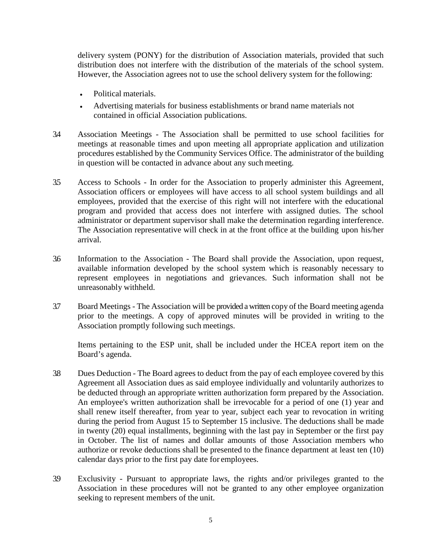However, the Association agrees not to use the school delivery system for the following: delivery system (PONY) for the distribution of Association materials, provided that such distribution does not interfere with the distribution of the materials of the school system.

- Political materials.
- Advertising materials for business establishments or brand name materials not contained in official Association publications.
- in question will be contacted in advance about any such meeting. 3.4 Association Meetings - The Association shall be permitted to use school facilities for meetings at reasonable times and upon meeting all appropriate application and utilization procedures established by the Community Services Office. The administrator of the building
- 3.5 Access to Schools In order for the Association to properly administer this Agreement, Association officers or employees will have access to all school system buildings and all The Association representative will check in at the front office at the building upon his/her employees, provided that the exercise of this right will not interfere with the educational program and provided that access does not interfere with assigned duties. The school administrator or department supervisor shall make the determination regarding interference. arrival.
- unreasonably withheld. 3.6 Information to the Association - The Board shall provide the Association, upon request, available information developed by the school system which is reasonably necessary to represent employees in negotiations and grievances. Such information shall not be
- 3.7 Board Meetings The Association will be provided a written copy of the Board meeting agenda Association promptly following such meetings. prior to the meetings. A copy of approved minutes will be provided in writing to the

Items pertaining to the ESP unit, shall be included under the HCEA report item on the Board's agenda.

- 3.8 Dues Deduction The Board agrees to deduct from the pay of each employee covered by this Agreement all Association dues as said employee individually and voluntarily authorizes to An employee's written authorization shall be irrevocable for a period of one (1) year and shall renew itself thereafter, from year to year, subject each year to revocation in writing in October. The list of names and dollar amounts of those Association members who authorize or revoke deductions shall be presented to the finance department at least ten (10) calendar days prior to the first pay date for employees. be deducted through an appropriate written authorization form prepared by the Association. during the period from August 15 to September 15 inclusive. The deductions shall be made in twenty (20) equal installments, beginning with the last pay in September or the first pay
- seeking to represent members of the unit. 3.9 Exclusivity - Pursuant to appropriate laws, the rights and/or privileges granted to the Association in these procedures will not be granted to any other employee organization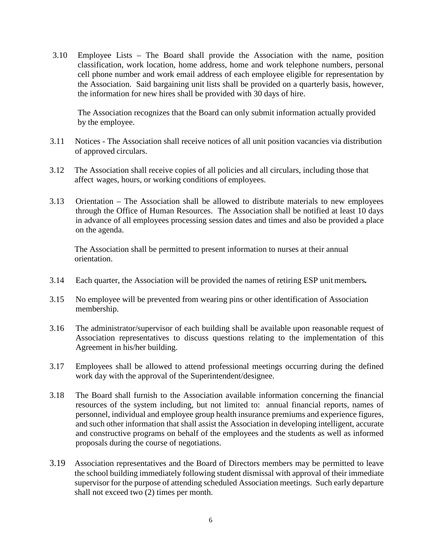3.10 Employee Lists – The Board shall provide the Association with the name, position classification, work location, home address, home and work telephone numbers, personal cell phone number and work email address of each employee eligible for representation by the Association. Said bargaining unit lists shall be provided on a quarterly basis, however, the information for new hires shall be provided with 30 days of hire.

The Association recognizes that the Board can only submit information actually provided by the employee.

- 3.11 Notices The Association shall receive notices of all unit position vacancies via distribution of approved circulars.
- affect wages, hours, or working conditions of employees. 3.12 The Association shall receive copies of all policies and all circulars, including those that
- 3.13 Orientation The Association shall be allowed to distribute materials to new employees through the Office of Human Resources. The Association shall be notified at least 10 days in advance of all employees processing session dates and times and also be provided a place on the agenda.

 The Association shall be permitted to present information to nurses at their annual orientation.

- 3.14 Each quarter, the Association will be provided the names of retiring ESP unit members*.*
- 3.15 No employee will be prevented from wearing pins or other identification of Association membership.
- Agreement in his/her building. 3.16 The administrator/supervisor of each building shall be available upon reasonable request of Association representatives to discuss questions relating to the implementation of this
- 3.17 Employees shall be allowed to attend professional meetings occurring during the defined work day with the approval of the Superintendent/designee.
- resources of the system including, but not limited to: annual financial reports, names of 3.18 The Board shall furnish to the Association available information concerning the financial personnel, individual and employee group health insurance premiums and experience figures, and such other information that shall assist the Association in developing intelligent, accurate and constructive programs on behalf of the employees and the students as well as informed proposals during the course of negotiations.
- 3.19 Association representatives and the Board of Directors members may be permitted to leave the school building immediately following student dismissal with approval of their immediate supervisor for the purpose of attending scheduled Association meetings. Such early departure shall not exceed two (2) times per month.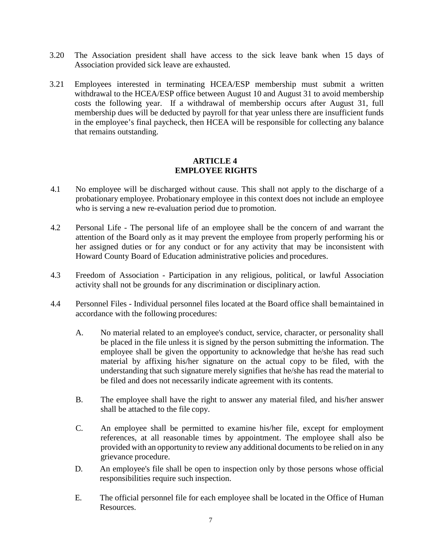- 3.20 The Association president shall have access to the sick leave bank when 15 days of Association provided sick leave are exhausted.
- costs the following year. If a withdrawal of membership occurs after August 31, full in the employee's final paycheck, then HCEA will be responsible for collecting any balance 3.21 Employees interested in terminating HCEA/ESP membership must submit a written withdrawal to the HCEA/ESP office between August 10 and August 31 to avoid membership membership dues will be deducted by payroll for that year unless there are insufficient funds that remains outstanding.

#### **ARTICLE 4 EMPLOYEE RIGHTS**

- who is serving a new re-evaluation period due to promotion. 4.1 No employee will be discharged without cause. This shall not apply to the discharge of a probationary employee. Probationary employee in this context does not include an employee
- her assigned duties or for any conduct or for any activity that may be inconsistent with Howard County Board of Education administrative policies and procedures. 4.2 Personal Life - The personal life of an employee shall be the concern of and warrant the attention of the Board only as it may prevent the employee from properly performing his or
- activity shall not be grounds for any discrimination or disciplinary action. 4.3 Freedom of Association - Participation in any religious, political, or lawful Association
- accordance with the following procedures: 4.4 Personnel Files - Individual personnel files located at the Board office shall bemaintained in
	- A. No material related to an employee's conduct, service, character, or personality shall be placed in the file unless it is signed by the person submitting the information. The employee shall be given the opportunity to acknowledge that he/she has read such material by affixing his/her signature on the actual copy to be filed, with the understanding that such signature merely signifies that he/she has read the material to be filed and does not necessarily indicate agreement with its contents.
	- shall be attached to the file copy. B. The employee shall have the right to answer any material filed, and his/her answer
	- C. An employee shall be permitted to examine his/her file, except for employment provided with an opportunity to review any additional documents to be relied on in any grievance procedure. references, at all reasonable times by appointment. The employee shall also be
	- D. An employee's file shall be open to inspection only by those persons whose official responsibilities require such inspection.
	- E. The official personnel file for each employee shall be located in the Office of Human Resources.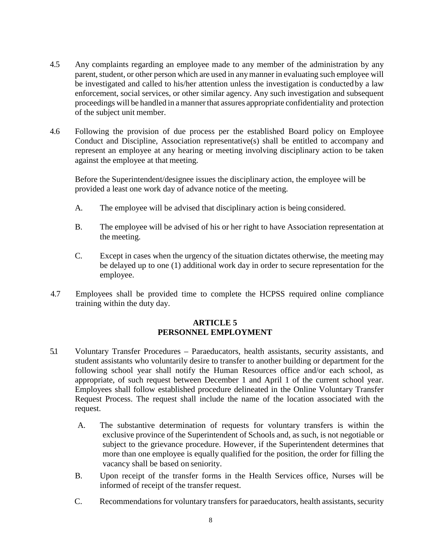- parent, student, or other person which are used in any manner in evaluating such employee will proceedings will be handled in a manner that assures appropriate confidentiality and protection of the subject unit member. 4.5 Any complaints regarding an employee made to any member of the administration by any be investigated and called to his/her attention unless the investigation is conductedby a law enforcement, social services, or other similar agency. Any such investigation and subsequent
- against the employee at that meeting. 4.6 Following the provision of due process per the established Board policy on Employee Conduct and Discipline, Association representative(s) shall be entitled to accompany and represent an employee at any hearing or meeting involving disciplinary action to be taken

Before the Superintendent/designee issues the disciplinary action, the employee will be provided a least one work day of advance notice of the meeting.

- A. The employee will be advised that disciplinary action is being considered.
- the meeting. B. The employee will be advised of his or her right to have Association representation at
- C. Except in cases when the urgency of the situation dictates otherwise, the meeting may be delayed up to one (1) additional work day in order to secure representation for the employee.
- 4.7 Employees shall be provided time to complete the HCPSS required online compliance training within the duty day.

### **ARTICLE 5 PERSONNEL EMPLOYMENT**

- appropriate, of such request between December 1 and April 1 of the current school year. Employees shall follow established procedure delineated in the Online Voluntary Transfer 5.1 Voluntary Transfer Procedures – Paraeducators, health assistants, security assistants, and student assistants who voluntarily desire to transfer to another building or department for the following school year shall notify the Human Resources office and/or each school, as Request Process. The request shall include the name of the location associated with the request.
	- A. The substantive determination of requests for voluntary transfers is within the exclusive province of the Superintendent of Schools and, as such, is not negotiable or vacancy shall be based on seniority. subject to the grievance procedure. However, if the Superintendent determines that more than one employee is equally qualified for the position, the order for filling the
	- B. Upon receipt of the transfer forms in the Health Services office, Nurses will be informed of receipt of the transfer request.
	- C. Recommendations for voluntary transfers for paraeducators, health assistants, security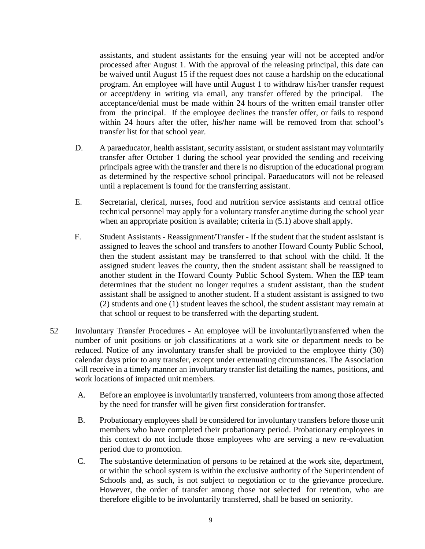be waived until August 15 if the request does not cause a hardship on the educational assistants, and student assistants for the ensuing year will not be accepted and/or processed after August 1. With the approval of the releasing principal, this date can program. An employee will have until August 1 to withdraw his/her transfer request or accept/deny in writing via email, any transfer offered by the principal. The acceptance/denial must be made within 24 hours of the written email transfer offer from the principal. If the employee declines the transfer offer, or fails to respond within 24 hours after the offer, his/her name will be removed from that school's transfer list for that school year.

- transfer after October 1 during the school year provided the sending and receiving until a replacement is found for the transferring assistant. D. A paraeducator, health assistant, security assistant, or student assistant may voluntarily principals agree with the transfer and there is no disruption of the educational program as determined by the respective school principal. Paraeducators will not be released
- technical personnel may apply for a voluntary transfer anytime during the school year when an appropriate position is available; criteria in  $(5.1)$  above shall apply. E. Secretarial, clerical, nurses, food and nutrition service assistants and central office
- F. Student Assistants Reassignment/Transfer If the student that the student assistant is another student in the Howard County Public School System. When the IEP team determines that the student no longer requires a student assistant, than the student (2) students and one (1) student leaves the school, the student assistant may remain at assigned to leaves the school and transfers to another Howard County Public School, then the student assistant may be transferred to that school with the child. If the assigned student leaves the county, then the student assistant shall be reassigned to assistant shall be assigned to another student. If a student assistant is assigned to two that school or request to be transferred with the departing student.
- will receive in a timely manner an involuntary transfer list detailing the names, positions, and work locations of impacted unit members. 5.2 Involuntary Transfer Procedures - An employee will be involuntarilytransferred when the number of unit positions or job classifications at a work site or department needs to be reduced. Notice of any involuntary transfer shall be provided to the employee thirty (30) calendar days prior to any transfer, except under extenuating circumstances. The Association
	- by the need for transfer will be given first consideration for transfer. A. Before an employee is involuntarily transferred, volunteers from among those affected
	- B. Probationary employees shall be considered for involuntary transfers before those unit period due to promotion. members who have completed their probationary period. Probationary employees in this context do not include those employees who are serving a new re-evaluation
	- Schools and, as such, is not subject to negotiation or to the grievance procedure. However, the order of transfer among those not selected for retention, who are C. The substantive determination of persons to be retained at the work site, department, or within the school system is within the exclusive authority of the Superintendent of therefore eligible to be involuntarily transferred, shall be based on seniority.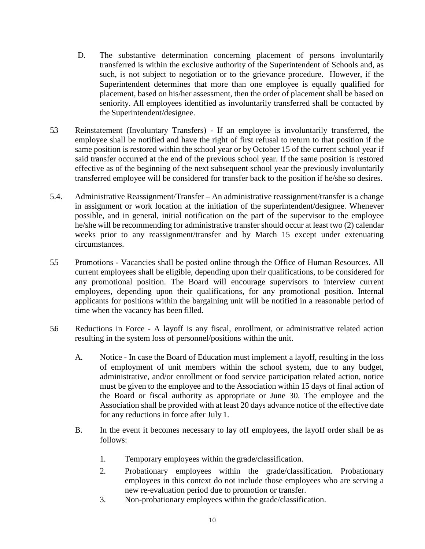- such, is not subject to negotiation or to the grievance procedure. However, if the placement, based on his/her assessment, then the order of placement shall be based on D. The substantive determination concerning placement of persons involuntarily transferred is within the exclusive authority of the Superintendent of Schools and, as Superintendent determines that more than one employee is equally qualified for seniority. All employees identified as involuntarily transferred shall be contacted by the Superintendent/designee.
- employee shall be notified and have the right of first refusal to return to that position if the same position is restored within the school year or by October 15 of the current school year if effective as of the beginning of the next subsequent school year the previously involuntarily transferred employee will be considered for transfer back to the position if he/she so desires. 5.3 Reinstatement (Involuntary Transfers) - If an employee is involuntarily transferred, the said transfer occurred at the end of the previous school year. If the same position is restored
- weeks prior to any reassignment/transfer and by March 15 except under extenuating 5.4. Administrative Reassignment/Transfer – An administrative reassignment/transfer is a change in assignment or work location at the initiation of the superintendent/designee. Whenever possible, and in general, initial notification on the part of the supervisor to the employee he/she will be recommending for administrative transfer should occur at least two (2) calendar circumstances.
- 5.5 Promotions Vacancies shall be posted online through the Office of Human Resources. All time when the vacancy has been filled. current employees shall be eligible, depending upon their qualifications, to be considered for any promotional position. The Board will encourage supervisors to interview current employees, depending upon their qualifications, for any promotional position. Internal applicants for positions within the bargaining unit will be notified in a reasonable period of
- 5.6 Reductions in Force A layoff is any fiscal, enrollment, or administrative related action resulting in the system loss of personnel/positions within the unit.
	- A. Notice In case the Board of Education must implement a layoff, resulting in the loss administrative, and/or enrollment or food service participation related action, notice must be given to the employee and to the Association within 15 days of final action of the Board or fiscal authority as appropriate or June 30. The employee and the for any reductions in force after July 1. of employment of unit members within the school system, due to any budget, Association shall be provided with at least 20 days advance notice of the effective date
	- B. In the event it becomes necessary to lay off employees, the layoff order shall be as follows:
		- 1. Temporary employees within the grade/classification.
		- 2. Probationary employees within the grade/classification. Probationary employees in this context do not include those employees who are serving a new re-evaluation period due to promotion or transfer.
		- 3. Non-probationary employees within the grade/classification.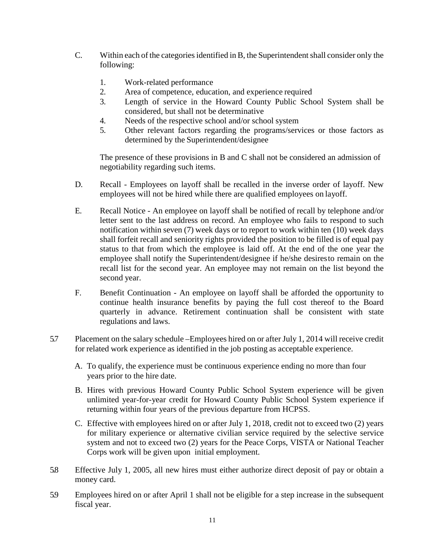- C. Within each of the categories identified in B, the Superintendent shall consider only the following:
	- 1. Work-related performance
	- 2. Area of competence, education, and experience required
	- 3. Length of service in the Howard County Public School System shall be considered, but shall not be determinative
	- 4. Needs of the respective school and/or school system
	- 5. Other relevant factors regarding the programs/services or those factors as determined by the Superintendent/designee

The presence of these provisions in B and C shall not be considered an admission of negotiability regarding such items.

- employees will not be hired while there are qualified employees on layoff. D. Recall - Employees on layoff shall be recalled in the inverse order of layoff. New
- letter sent to the last address on record. An employee who fails to respond to such notification within seven (7) week days or to report to work within ten (10) week days status to that from which the employee is laid off. At the end of the one year the second year. E. Recall Notice - An employee on layoff shall be notified of recall by telephone and/or shall forfeit recall and seniority rights provided the position to be filled is of equal pay employee shall notify the Superintendent/designee if he/she desiresto remain on the recall list for the second year. An employee may not remain on the list beyond the
- regulations and laws. F. Benefit Continuation - An employee on layoff shall be afforded the opportunity to continue health insurance benefits by paying the full cost thereof to the Board quarterly in advance. Retirement continuation shall be consistent with state
- for related work experience as identified in the job posting as acceptable experience. 5.7 Placement on the salary schedule –Employees hired on or after July 1, 2014 will receive credit
	- A. To qualify, the experience must be continuous experience ending no more than four years prior to the hire date.
	- B. Hires with previous Howard County Public School System experience will be given unlimited year-for-year credit for Howard County Public School System experience if returning within four years of the previous departure from HCPSS.
	- C. Effective with employees hired on or after July 1, 2018, credit not to exceed two (2) years for military experience or alternative civilian service required by the selective service system and not to exceed two (2) years for the Peace Corps, VISTA or National Teacher Corps work will be given upon initial employment.
- 5.8 Effective July 1, 2005, all new hires must either authorize direct deposit of pay or obtain a money card.
- 5.9 Employees hired on or after April 1 shall not be eligible for a step increase in the subsequent fiscal year.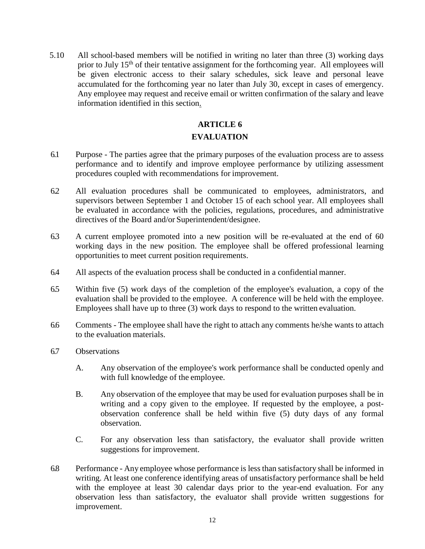<span id="page-13-0"></span>prior to July 15<sup>th</sup> of their tentative assignment for the forthcoming year. All employees will accumulated for the forthcoming year no later than July 30, except in cases of emergency. Any employee may request and receive email or written confirmation of the salary and leave 5.10 All school-based members will be notified in writing no later than three (3) working days be given electronic access to their salary schedules, sick leave and personal leave information identified in this section.

## **ARTICLE 6 EVALUATION**

- 6.1 Purpose The parties agree that the primary purposes of the evaluation process are to assess performance and to identify and improve employee performance by utilizing assessment procedures coupled with recommendations for improvement.
- 6.2 All evaluation procedures shall be communicated to employees, administrators, and supervisors between September 1 and October 15 of each school year. All employees shall be evaluated in accordance with the policies, regulations, procedures, and administrative directives of the Board and/or Superintendent/designee.
- 6.3 A current employee promoted into a new position will be re-evaluated at the end of 60 working days in the new position. The employee shall be offered professional learning opportunities to meet current position requirements.
- 6.4 All aspects of the evaluation process shall be conducted in a confidential manner.
- evaluation shall be provided to the employee. A conference will be held with the employee. Employees shall have up to three (3) work days to respond to the written evaluation. 6.5 Within five (5) work days of the completion of the employee's evaluation, a copy of the
- to the evaluation materials. 6.6 Comments - The employee shall have the right to attach any comments he/she wants to attach
- 6.7 Observations
	- A. Any observation of the employee's work performance shall be conducted openly and with full knowledge of the employee.
	- B. Any observation of the employee that may be used for evaluation purposes shall be in writing and a copy given to the employee. If requested by the employee, a post- observation conference shall be held within five (5) duty days of any formal observation.
	- C. For any observation less than satisfactory, the evaluator shall provide written suggestions for improvement.
- 6.8 Performance Any employee whose performance is less than satisfactory shall be informed in writing. At least one conference identifying areas of unsatisfactory performance shall be held with the employee at least 30 calendar days prior to the year-end evaluation. For any observation less than satisfactory, the evaluator shall provide written suggestions for improvement.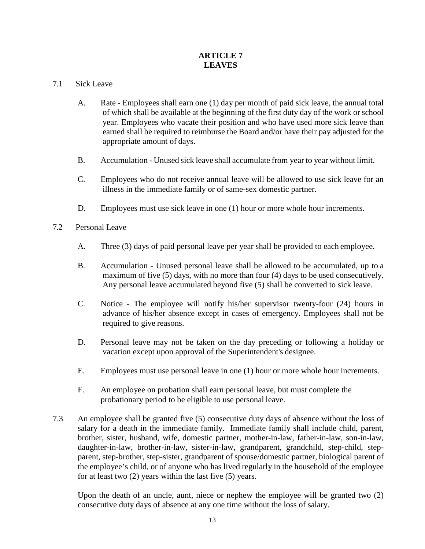## **ARTICLE 7 LEAVES**

### 7.1 Sick Leave

- of which shall be available at the beginning of the first duty day of the work or school appropriate amount of days. A. Rate - Employees shall earn one (1) day per month of paid sick leave, the annual total year. Employees who vacate their position and who have used more sick leave than earned shall be required to reimburse the Board and/or have their pay adjusted for the
- B. Accumulation Unused sick leave shall accumulate from year to year without limit.
- C. Employees who do not receive annual leave will be allowed to use sick leave for an illness in the immediate family or of same-sex domestic partner.
- D. Employees must use sick leave in one (1) hour or more whole hour increments.
- 7.2 Personal Leave
	- A. Three (3) days of paid personal leave per year shall be provided to each employee.
	- Any personal leave accumulated beyond five (5) shall be converted to sick leave. B. Accumulation - Unused personal leave shall be allowed to be accumulated, up to a maximum of five (5) days, with no more than four (4) days to be used consecutively.
	- advance of his/her absence except in cases of emergency. Employees shall not be required to give reasons. C. Notice - The employee will notify his/her supervisor twenty-four (24) hours in
	- vacation except upon approval of the Superintendent's designee. D. Personal leave may not be taken on the day preceding or following a holiday or
	- $E.$ Employees must use personal leave in one (1) hour or more whole hour increments.
	- probationary period to be eligible to use personal leave. F. An employee on probation shall earn personal leave, but must complete the
- salary for a death in the immediate family. Immediate family shall include child, parent, for at least two (2) years within the last five (5) years. 7.3 An employee shall be granted five (5) consecutive duty days of absence without the loss of brother, sister, husband, wife, domestic partner, mother-in-law, father-in-law, son-in-law, daughter-in-law, brother-in-law, sister-in-law, grandparent, grandchild, step-child, stepparent, step-brother, step-sister, grandparent of spouse/domestic partner, biological parent of the employee's child, or of anyone who has lived regularly in the household of the employee

Upon the death of an uncle, aunt, niece or nephew the employee will be granted two (2) consecutive duty days of absence at any one time without the loss of salary.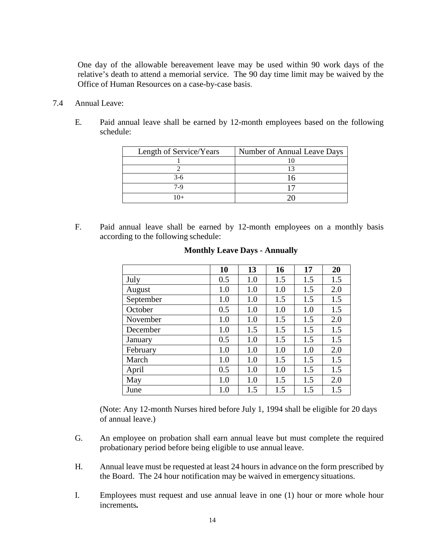One day of the allowable bereavement leave may be used within 90 work days of the relative's death to attend a memorial service. The 90 day time limit may be waived by the Office of Human Resources on a case-by-case basis.

- 7.4 Annual Leave:
	- E. Paid annual leave shall be earned by 12-month employees based on the following schedule:

| Length of Service/Years | Number of Annual Leave Days |
|-------------------------|-----------------------------|
|                         |                             |
|                         |                             |
| 3-6                     |                             |
| 7-9                     |                             |
|                         |                             |

 according to the following schedule: F. Paid annual leave shall be earned by 12-month employees on a monthly basis

|           | 10  | 13  | 16  | 17  | 20  |
|-----------|-----|-----|-----|-----|-----|
| July      | 0.5 | 1.0 | 1.5 | 1.5 | 1.5 |
| August    | 1.0 | 1.0 | 1.0 | 1.5 | 2.0 |
| September | 1.0 | 1.0 | 1.5 | 1.5 | 1.5 |
| October   | 0.5 | 1.0 | 1.0 | 1.0 | 1.5 |
| November  | 1.0 | 1.0 | 1.5 | 1.5 | 2.0 |
| December  | 1.0 | 1.5 | 1.5 | 1.5 | 1.5 |
| January   | 0.5 | 1.0 | 1.5 | 1.5 | 1.5 |
| February  | 1.0 | 1.0 | 1.0 | 1.0 | 2.0 |
| March     | 1.0 | 1.0 | 1.5 | 1.5 | 1.5 |
| April     | 0.5 | 1.0 | 1.0 | 1.5 | 1.5 |
| May       | 1.0 | 1.0 | 1.5 | 1.5 | 2.0 |
| June      | 1.0 | 1.5 | 1.5 | 1.5 | 1.5 |

#### **Monthly Leave Days - Annually**

 (Note: Any 12-month Nurses hired before July 1, 1994 shall be eligible for 20 days of annual leave.)

- probationary period before being eligible to use annual leave. G. An employee on probation shall earn annual leave but must complete the required
- H. Annual leave must be requested at least 24 hours in advance on the form prescribed by the Board. The 24 hour notification may be waived in emergency situations.
- I. Employees must request and use annual leave in one (1) hour or more whole hour increments*.*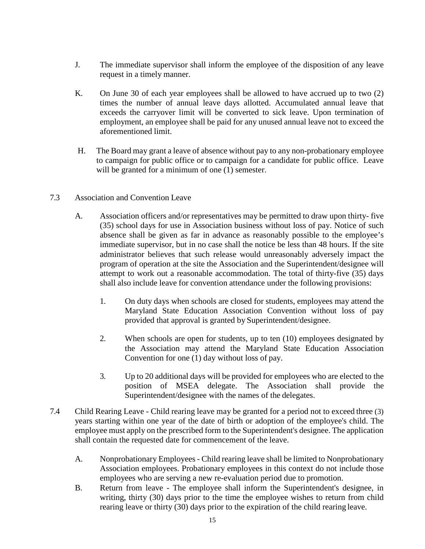- J. The immediate supervisor shall inform the employee of the disposition of any leave request in a timely manner.
- aforementioned limit. K. On June 30 of each year employees shall be allowed to have accrued up to two (2) times the number of annual leave days allotted. Accumulated annual leave that exceeds the carryover limit will be converted to sick leave. Upon termination of employment, an employee shall be paid for any unused annual leave not to exceed the
- H. The Board may grant a leave of absence without pay to any non-probationary employee to campaign for public office or to campaign for a candidate for public office. Leave will be granted for a minimum of one  $(1)$  semester.
- 7.3 Association and Convention Leave
	- A. Association officers and/or representatives may be permitted to draw upon thirty- five (35) school days for use in Association business without loss of pay. Notice of such absence shall be given as far in advance as reasonably possible to the employee's attempt to work out a reasonable accommodation. The total of thirty-five (35) days shall also include leave for convention attendance under the following provisions: immediate supervisor, but in no case shall the notice be less than 48 hours. If the site administrator believes that such release would unreasonably adversely impact the program of operation at the site the Association and the Superintendent/designee will
		- 1. On duty days when schools are closed for students, employees may attend the Maryland State Education Association Convention without loss of pay provided that approval is granted by Superintendent/designee.
		- Convention for one (1) day without loss of pay. 2. When schools are open for students, up to ten (10) employees designated by the Association may attend the Maryland State Education Association
		- 3. Up to 20 additional days will be provided for employees who are elected to the Superintendent/designee with the names of the delegates. position of MSEA delegate. The Association shall provide the
- 7.4 Child Rearing Leave Child rearing leave may be granted for a period not to exceed three (3) years starting within one year of the date of birth or adoption of the employee's child. The employee must apply on the prescribed form to the Superintendent's designee. The application shall contain the requested date for commencement of the leave.
	- A. Nonprobationary Employees Child rearing leave shall be limited to Nonprobationary Association employees. Probationary employees in this context do not include those employees who are serving a new re-evaluation period due to promotion.
	- writing, thirty (30) days prior to the time the employee wishes to return from child rearing leave or thirty (30) days prior to the expiration of the child rearing leave. B. Return from leave - The employee shall inform the Superintendent's designee, in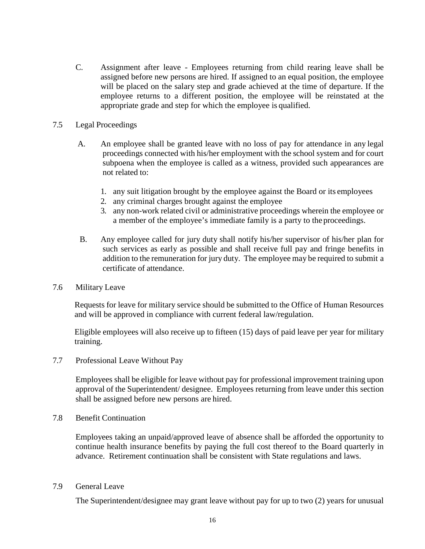assigned before new persons are hired. If assigned to an equal position, the employee will be placed on the salary step and grade achieved at the time of departure. If the appropriate grade and step for which the employee is qualified. C. Assignment after leave - Employees returning from child rearing leave shall be employee returns to a different position, the employee will be reinstated at the

#### 7.5 Legal Proceedings

- A. An employee shall be granted leave with no loss of pay for attendance in any legal subpoena when the employee is called as a witness, provided such appearances are not related to: proceedings connected with his/her employment with the school system and for court
	- 1. any suit litigation brought by the employee against the Board or its employees
	- 2. any criminal charges brought against the employee
	- 3. any non-work related civil or administrative proceedings wherein the employee or a member of the employee's immediate family is a party to the proceedings.
- B. Any employee called for jury duty shall notify his/her supervisor of his/her plan for such services as early as possible and shall receive full pay and fringe benefits in addition to the remuneration for jury duty. The employee may be required to submit a certificate of attendance.
- 7.6 Military Leave

Requests for leave for military service should be submitted to the Office of Human Resources and will be approved in compliance with current federal law/regulation.

 Eligible employees will also receive up to fifteen (15) days of paid leave per year for military training.

7.7 Professional Leave Without Pay

 approval of the Superintendent/ designee. Employees returning from leave under this section shall be assigned before new persons are hired. Employees shall be eligible for leave without pay for professional improvement training upon

7.8 Benefit Continuation

 Employees taking an unpaid/approved leave of absence shall be afforded the opportunity to continue health insurance benefits by paying the full cost thereof to the Board quarterly in advance. Retirement continuation shall be consistent with State regulations and laws.

7.9 General Leave

The Superintendent/designee may grant leave without pay for up to two (2) years for unusual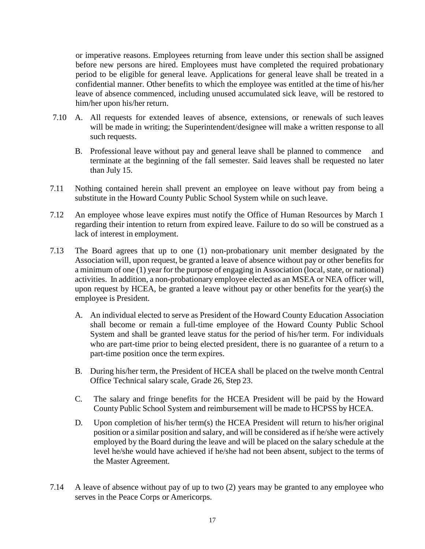or imperative reasons. Employees returning from leave under this section shall be assigned before new persons are hired. Employees must have completed the required probationary period to be eligible for general leave. Applications for general leave shall be treated in a confidential manner. Other benefits to which the employee was entitled at the time of his/her leave of absence commenced, including unused accumulated sick leave, will be restored to him/her upon his/her return.

- 7.10 A. All requests for extended leaves of absence, extensions, or renewals of such leaves will be made in writing; the Superintendent/designee will make a written response to all such requests.
	- B. Professional leave without pay and general leave shall be planned to commence and than July 15. terminate at the beginning of the fall semester. Said leaves shall be requested no later
- 7.11 Nothing contained herein shall prevent an employee on leave without pay from being a substitute in the Howard County Public School System while on such leave.
- regarding their intention to return from expired leave. Failure to do so will be construed as a 7.12 An employee whose leave expires must notify the Office of Human Resources by March 1 lack of interest in employment.
- Association will, upon request, be granted a leave of absence without pay or other benefits for activities. In addition, a non-probationary employee elected as an MSEA or NEA officer will, upon request by HCEA, be granted a leave without pay or other benefits for the year(s) the employee is President. 7.13 The Board agrees that up to one (1) non-probationary unit member designated by the a minimum of one (1) year for the purpose of engaging in Association (local, state, or national)
	- shall become or remain a full-time employee of the Howard County Public School System and shall be granted leave status for the period of his/her term. For individuals part-time position once the term expires. A. An individual elected to serve as President of the Howard County Education Association who are part-time prior to being elected president, there is no guarantee of a return to a
	- B. During his/her term, the President of HCEA shall be placed on the twelve month Central Office Technical salary scale, Grade 26, Step 23.
	- County Public School System and reimbursement will be made to HCPSS by HCEA. C. The salary and fringe benefits for the HCEA President will be paid by the Howard
	- D. Upon completion of his/her term(s) the HCEA President will return to his/her original position or a similar position and salary, and will be considered as if he/she were actively employed by the Board during the leave and will be placed on the salary schedule at the the Master Agreement. level he/she would have achieved if he/she had not been absent, subject to the terms of
- serves in the Peace Corps or Americorps. 7.14 A leave of absence without pay of up to two (2) years may be granted to any employee who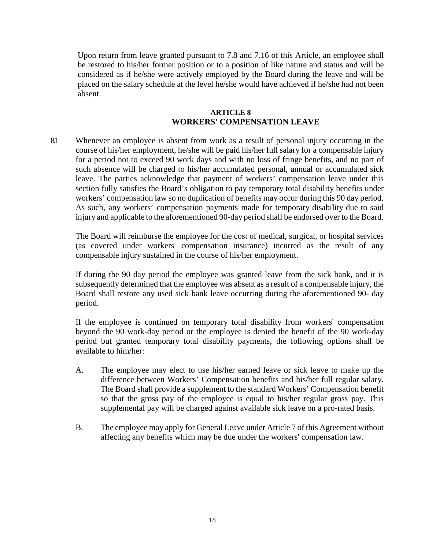<span id="page-19-0"></span> considered as if he/she were actively employed by the Board during the leave and will be Upon return from leave granted pursuant to 7.8 and 7.16 of this Article, an employee shall be restored to his/her former position or to a position of like nature and status and will be placed on the salary schedule at the level he/she would have achieved if he/she had not been absent.

#### **ARTICLE 8 WORKERS' COMPENSATION LEAVE**

 As such, any workers' compensation payments made for temporary disability due to said injury and applicable to the aforementioned 90-day period shall be endorsed over to the Board. 8.1 Whenever an employee is absent from work as a result of personal injury occurring in the course of his/her employment, he/she will be paid his/her full salary for a compensable injury for a period not to exceed 90 work days and with no loss of fringe benefits, and no part of such absence will be charged to his/her accumulated personal, annual or accumulated sick leave. The parties acknowledge that payment of workers' compensation leave under this section fully satisfies the Board's obligation to pay temporary total disability benefits under workers' compensation law so no duplication of benefits may occur during this 90 day period.

 (as covered under workers' compensation insurance) incurred as the result of any The Board will reimburse the employee for the cost of medical, surgical, or hospital services compensable injury sustained in the course of his/her employment.

 If during the 90 day period the employee was granted leave from the sick bank, and it is subsequently determined that the employee was absent as a result of a compensable injury, the Board shall restore any used sick bank leave occurring during the aforementioned 90- day period.

If the employee is continued on temporary total disability from workers' compensation beyond the 90 work-day period or the employee is denied the benefit of the 90 work-day period but granted temporary total disability payments, the following options shall be available to him/her:

- difference between Workers' Compensation benefits and his/her full regular salary. so that the gross pay of the employee is equal to his/her regular gross pay. This A. The employee may elect to use his/her earned leave or sick leave to make up the The Board shall provide a supplement to the standard Workers' Compensation benefit supplemental pay will be charged against available sick leave on a pro-rated basis.
- B. The employee may apply for General Leave under Article 7 of this Agreement without affecting any benefits which may be due under the workers' compensation law.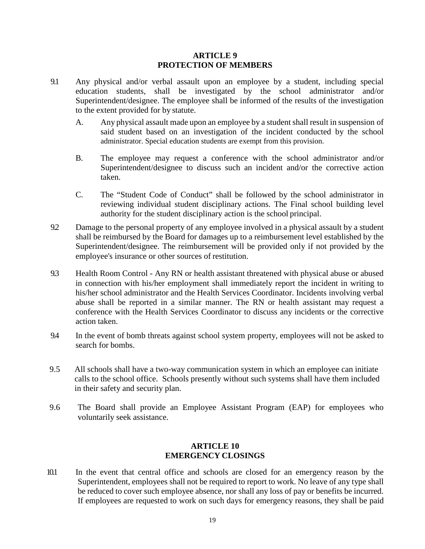#### **ARTICLE 9 PROTECTION OF MEMBERS**

- <span id="page-20-0"></span> to the extent provided for by statute. 9.1 Any physical and/or verbal assault upon an employee by a student, including special education students, shall be investigated by the school administrator and/or Superintendent/designee. The employee shall be informed of the results of the investigation
	- A. Any physical assault made upon an employee by a student shall result in suspension of said student based on an investigation of the incident conducted by the school administrator. Special education students are exempt from this provision.
	- B. The employee may request a conference with the school administrator and/or Superintendent/designee to discuss such an incident and/or the corrective action taken.
	- authority for the student disciplinary action is the school principal. C. The "Student Code of Conduct" shall be followed by the school administrator in reviewing individual student disciplinary actions. The Final school building level
- 9.2 Damage to the personal property of any employee involved in a physical assault by a student employee's insurance or other sources of restitution. shall be reimbursed by the Board for damages up to a reimbursement level established by the Superintendent/designee. The reimbursement will be provided only if not provided by the
- 9.3 Health Room Control Any RN or health assistant threatened with physical abuse or abused abuse shall be reported in a similar manner. The RN or health assistant may request a conference with the Health Services Coordinator to discuss any incidents or the corrective action taken. in connection with his/her employment shall immediately report the incident in writing to his/her school administrator and the Health Services Coordinator. Incidents involving verbal
- search for bombs. 9.4 In the event of bomb threats against school system property, employees will not be asked to
- 9.5 All schools shall have a two-way communication system in which an employee can initiate calls to the school office. Schools presently without such systems shall have them included in their safety and security plan.
- 9.6 The Board shall provide an Employee Assistant Program (EAP) for employees who voluntarily seek assistance.

### **ARTICLE 10 EMERGENCY CLOSINGS**

10.1 In the event that central office and schools are closed for an emergency reason by the Superintendent, employees shall not be required to report to work. No leave of any type shall be reduced to cover such employee absence, nor shall any loss of pay or benefits be incurred. If employees are requested to work on such days for emergency reasons, they shall be paid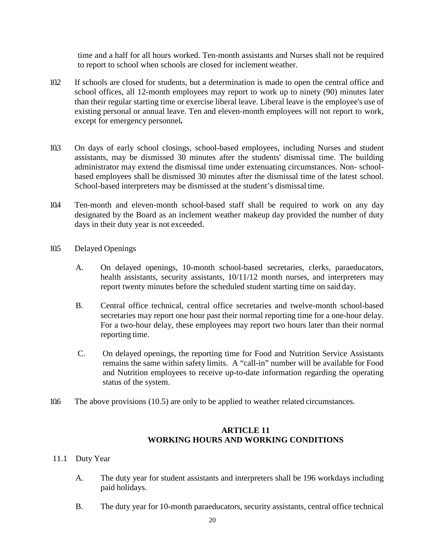to report to school when schools are closed for inclement weather. time and a half for all hours worked. Ten-month assistants and Nurses shall not be required

- than their regular starting time or exercise liberal leave. Liberal leave is the employee's use of existing personal or annual leave. Ten and eleven-month employees will not report to work, 10.2 If schools are closed for students, but a determination is made to open the central office and school offices, all 12-month employees may report to work up to ninety (90) minutes later except for emergency personnel*.*
- based employees shall be dismissed 30 minutes after the dismissal time of the latest school. School-based interpreters may be dismissed at the student's dismissal time. 10.3 On days of early school closings, school-based employees, including Nurses and student assistants, may be dismissed 30 minutes after the students' dismissal time. The building administrator may extend the dismissal time under extenuating circumstances. Non- school-
- designated by the Board as an inclement weather makeup day provided the number of duty days in their duty year is not exceeded. 10.4 Ten-month and eleven-month school-based staff shall be required to work on any day
- 105 Delayed Openings
	- report twenty minutes before the scheduled student starting time on said day. A. On delayed openings, 10-month school-based secretaries, clerks, paraeducators, health assistants, security assistants,  $10/11/12$  month nurses, and interpreters may
	- reporting time. B. Central office technical, central office secretaries and twelve-month school-based secretaries may report one hour past their normal reporting time for a one-hour delay. For a two-hour delay, these employees may report two hours later than their normal
	- C. On delayed openings, the reporting time for Food and Nutrition Service Assistants remains the same within safety limits. A "call-in" number will be available for Food and Nutrition employees to receive up-to-date information regarding the operating status of the system.
- 10.6 The above provisions (10.5) are only to be applied to weather related circumstances.

### **ARTICLE 11 WORKING HOURS AND WORKING CONDITIONS**

- 11.1 Duty Year
	- A. The duty year for student assistants and interpreters shall be 196 workdays including paid holidays.
	- B. The duty year for 10-month paraeducators, security assistants, central office technical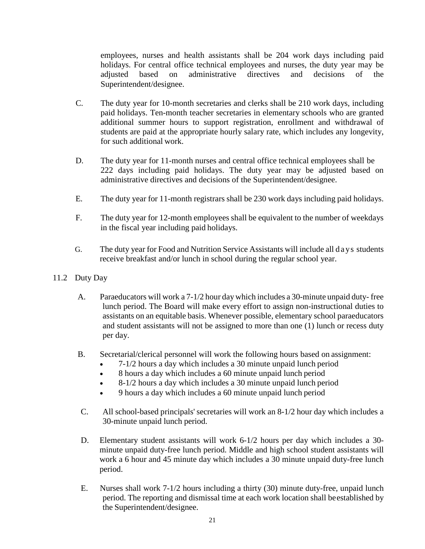employees, nurses and health assistants shall be 204 work days including paid holidays. For central office technical employees and nurses, the duty year may be adjusted based on administrative directives and decisions of the Superintendent/designee.

- C. The duty year for 10-month secretaries and clerks shall be 210 work days, including paid holidays. Ten-month teacher secretaries in elementary schools who are granted additional summer hours to support registration, enrollment and withdrawal of students are paid at the appropriate hourly salary rate, which includes any longevity, for such additional work.
- D. The duty year for 11-month nurses and central office technical employees shall be 222 days including paid holidays. The duty year may be adjusted based on administrative directives and decisions of the Superintendent/designee.
- E. The duty year for 11-month registrars shall be 230 work days including paid holidays.
- F. The duty year for 12-month employees shall be equivalent to the number of weekdays in the fiscal year including paid holidays.
- G. The duty year for Food and Nutrition Service Assistants will include all days students receive breakfast and/or lunch in school during the regular school year.
- 11.2 Duty Day
	- A. Paraeducators will work a 7-1/2 hour day which includes a 30-minute unpaid duty- free assistants on an equitable basis. Whenever possible, elementary school paraeducators lunch period. The Board will make every effort to assign non-instructional duties to and student assistants will not be assigned to more than one (1) lunch or recess duty per day.
	- B. Secretarial/clerical personnel will work the following hours based on assignment:
		- 7-1/2 hours a day which includes a 30 minute unpaid lunch period
		- 8 hours a day which includes a 60 minute unpaid lunch period
		- 8-1/2 hours a day which includes a 30 minute unpaid lunch period
		- 9 hours a day which includes a 60 minute unpaid lunch period
	- $C_{\cdot}$  30-minute unpaid lunch period. All school-based principals' secretaries will work an 8-1/2 hour day which includes a
	- work a 6 hour and 45 minute day which includes a 30 minute unpaid duty-free lunch D. Elementary student assistants will work 6-1/2 hours per day which includes a 30 minute unpaid duty-free lunch period. Middle and high school student assistants will period.
	- E. Nurses shall work 7-1/2 hours including a thirty (30) minute duty-free, unpaid lunch period. The reporting and dismissal time at each work location shall beestablished by the Superintendent/designee.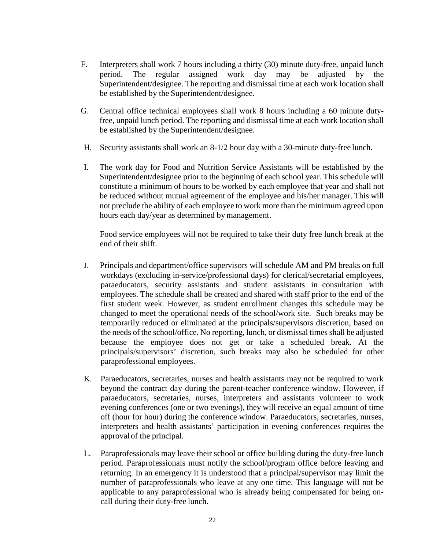- F. Interpreters shall work 7 hours including a thirty (30) minute duty-free, unpaid lunch period. The regular assigned work day may be adjusted by the Superintendent/designee. The reporting and dismissal time at each work location shall be established by the Superintendent/designee.
- G. Central office technical employees shall work 8 hours including a 60 minute dutyfree, unpaid lunch period. The reporting and dismissal time at each work location shall be established by the Superintendent/designee.
- H. Security assistants shall work an 8-1/2 hour day with a 30-minute duty-free lunch.
- Superintendent/designee prior to the beginning of each school year. This schedule will be reduced without mutual agreement of the employee and his/her manager. This will not preclude the ability of each employee to work more than the minimum agreed upon I. The work day for Food and Nutrition Service Assistants will be established by the constitute a minimum of hours to be worked by each employee that year and shall not hours each day/year as determined by management.

 Food service employees will not be required to take their duty free lunch break at the end of their shift.

- employees. The schedule shall be created and shared with staff prior to the end of the changed to meet the operational needs of the school/work site. Such breaks may be J. Principals and department/office supervisors will schedule AM and PM breaks on full workdays (excluding in-service/professional days) for clerical/secretarial employees, paraeducators, security assistants and student assistants in consultation with first student week. However, as student enrollment changes this schedule may be temporarily reduced or eliminated at the principals/supervisors discretion, based on the needs of the school/office. No reporting, lunch, or dismissal times shall be adjusted because the employee does not get or take a scheduled break. At the principals/supervisors' discretion, such breaks may also be scheduled for other paraprofessional employees.
- K. Paraeducators, secretaries, nurses and health assistants may not be required to work beyond the contract day during the parent-teacher conference window. However, if approval of the principal. paraeducators, secretaries, nurses, interpreters and assistants volunteer to work evening conferences (one or two evenings), they will receive an equal amount of time off (hour for hour) during the conference window. Paraeducators, secretaries, nurses, interpreters and health assistants' participation in evening conferences requires the
- returning. In an emergency it is understood that a principal/supervisor may limit the number of paraprofessionals who leave at any one time. This language will not be call during their duty-free lunch. L. Paraprofessionals may leave their school or office building during the duty-free lunch period. Paraprofessionals must notify the school/program office before leaving and applicable to any paraprofessional who is already being compensated for being on-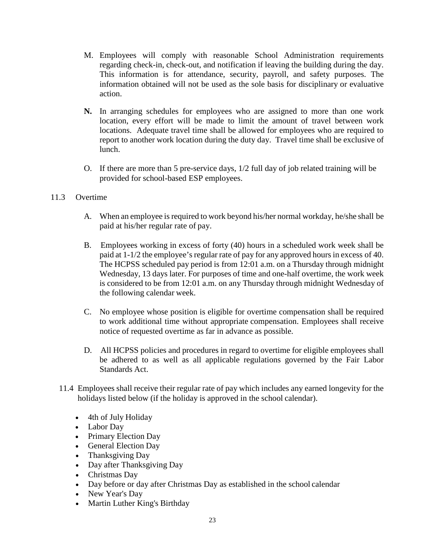- information obtained will not be used as the sole basis for disciplinary or evaluative M. Employees will comply with reasonable School Administration requirements regarding check-in, check-out, and notification if leaving the building during the day. This information is for attendance, security, payroll, and safety purposes. The action.
- **N.** In arranging schedules for employees who are assigned to more than one work locations. Adequate travel time shall be allowed for employees who are required to location, every effort will be made to limit the amount of travel between work report to another work location during the duty day. Travel time shall be exclusive of lunch.
- provided for school-based ESP employees.<br>11.3 Overtime O. If there are more than 5 pre-service days, 1/2 full day of job related training will be

#### $11.3$

- A. When an employee is required to work beyond his/her normal workday, he/she shall be paid at his/her regular rate of pay.
- B. Employees working in excess of forty (40) hours in a scheduled work week shall be paid at 1-1/2 the employee's regular rate of pay for any approved hours in excess of 40. The HCPSS scheduled pay period is from 12:01 a.m. on a Thursday through midnight the following calendar week. Wednesday, 13 days later. For purposes of time and one-half overtime, the work week is considered to be from 12:01 a.m. on any Thursday through midnight Wednesday of
- C. No employee whose position is eligible for overtime compensation shall be required to work additional time without appropriate compensation. Employees shall receive notice of requested overtime as far in advance as possible.
- D. All HCPSS policies and procedures in regard to overtime for eligible employees shall be adhered to as well as all applicable regulations governed by the Fair Labor Standards Act.
- 11.4 Employees shall receive their regular rate of pay which includes any earned longevity for the holidays listed below (if the holiday is approved in the school calendar).
	- 4th of July Holiday
	- Labor Day
	- Primary Election Day
	- General Election Day
	- Thanksgiving Day
	- Day after Thanksgiving Day
	- Christmas Day
	- Day before or day after Christmas Day as established in the school calendar
	- New Year's Day
	- Martin Luther King's Birthday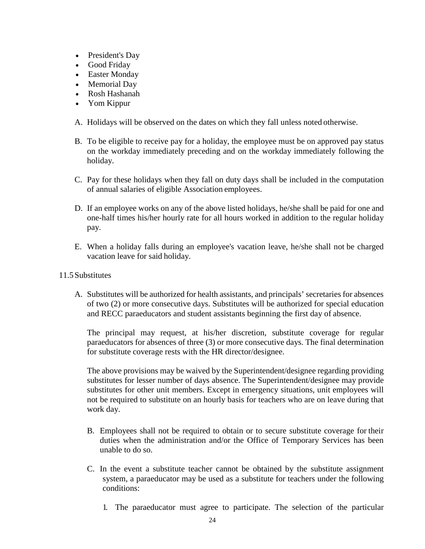- President's Day
- Good Friday
- Easter Monday
- Memorial Day
- Rosh Hashanah
- Yom Kippur
- A. Holidays will be observed on the dates on which they fall unless noted otherwise.
- B. To be eligible to receive pay for a holiday, the employee must be on approved pay status on the workday immediately preceding and on the workday immediately following the holiday.
- C. Pay for these holidays when they fall on duty days shall be included in the computation of annual salaries of eligible Association employees.
- D. If an employee works on any of the above listed holidays, he/she shall be paid for one and one-half times his/her hourly rate for all hours worked in addition to the regular holiday pay.
- vacation leave for said holiday. E. When a holiday falls during an employee's vacation leave, he/she shall not be charged
- 11.5 Substitutes
	- and RECC paraeducators and student assistants beginning the first day of absence. A. Substitutes will be authorized for health assistants, and principals' secretaries for absences of two (2) or more consecutive days. Substitutes will be authorized for special education

The principal may request, at his/her discretion, substitute coverage for regular paraeducators for absences of three (3) or more consecutive days. The final determination for substitute coverage rests with the HR director/designee.

The above provisions may be waived by the Superintendent/designee regarding providing substitutes for lesser number of days absence. The Superintendent/designee may provide substitutes for other unit members. Except in emergency situations, unit employees will not be required to substitute on an hourly basis for teachers who are on leave during that work day.

- B. Employees shall not be required to obtain or to secure substitute coverage for their duties when the administration and/or the Office of Temporary Services has been unable to do so.
- C. In the event a substitute teacher cannot be obtained by the substitute assignment system, a paraeducator may be used as a substitute for teachers under the following conditions:
	- 1. The paraeducator must agree to participate. The selection of the particular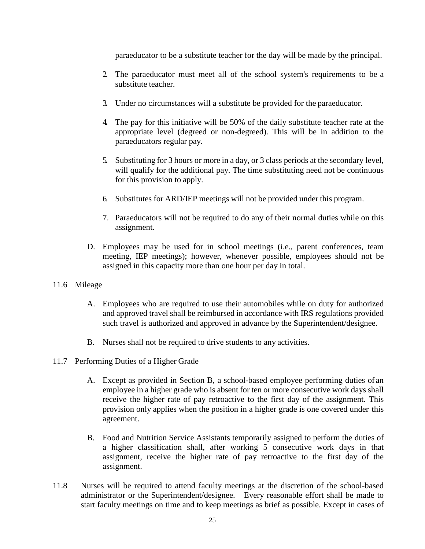paraeducator to be a substitute teacher for the day will be made by the principal.

- substitute teacher. 2. The paraeducator must meet all of the school system's requirements to be a
- 3. Under no circumstances will a substitute be provided for the paraeducator.
- 4. The pay for this initiative will be 50% of the daily substitute teacher rate at the paraeducators regular pay. appropriate level (degreed or non-degreed). This will be in addition to the
- 5. Substituting for 3 hours or more in a day, or 3 class periods at the secondary level, for this provision to apply. will qualify for the additional pay. The time substituting need not be continuous
- 6. Substitutes for ARD/IEP meetings will not be provided under this program.
- 7. Paraeducators will not be required to do any of their normal duties while on this assignment.
- D. Employees may be used for in school meetings (i.e., parent conferences, team meeting, IEP meetings); however, whenever possible, employees should not be assigned in this capacity more than one hour per day in total.
- 11.6 Mileage
	- A. Employees who are required to use their automobiles while on duty for authorized and approved travel shall be reimbursed in accordance with IRS regulations provided such travel is authorized and approved in advance by the Superintendent/designee.
	- B. Nurses shall not be required to drive students to any activities.
- 11.7 Performing Duties of a Higher Grade
	- provision only applies when the position in a higher grade is one covered under this A. Except as provided in Section B, a school-based employee performing duties of an employee in a higher grade who is absent for ten or more consecutive work days shall receive the higher rate of pay retroactive to the first day of the assignment. This agreement.
	- B. Food and Nutrition Service Assistants temporarily assigned to perform the duties of assignment, receive the higher rate of pay retroactive to the first day of the a higher classification shall, after working 5 consecutive work days in that assignment.
- 11.8 Nurses will be required to attend faculty meetings at the discretion of the school-based administrator or the Superintendent/designee. Every reasonable effort shall be made to start faculty meetings on time and to keep meetings as brief as possible. Except in cases of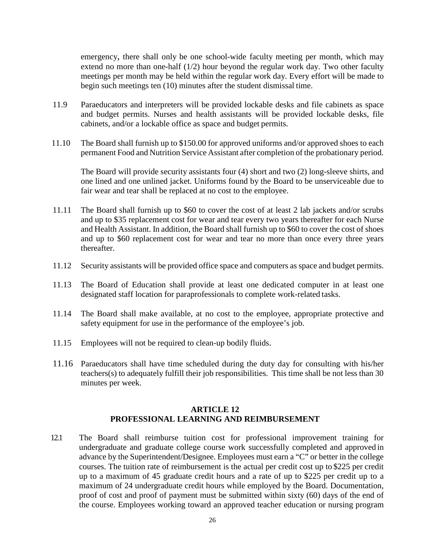emergency, there shall only be one school-wide faculty meeting per month, which may extend no more than one-half (1/2) hour beyond the regular work day. Two other faculty meetings per month may be held within the regular work day. Every effort will be made to begin such meetings ten (10) minutes after the student dismissal time.

- cabinets, and/or a lockable office as space and budget permits. 11.9 Paraeducators and interpreters will be provided lockable desks and file cabinets as space and budget permits. Nurses and health assistants will be provided lockable desks, file
- permanent Food and Nutrition Service Assistant after completion of the probationary period. 11.10 The Board shall furnish up to \$150.00 for approved uniforms and/or approved shoes to each

The Board will provide security assistants four (4) short and two (2) long-sleeve shirts, and one lined and one unlined jacket. Uniforms found by the Board to be unserviceable due to fair wear and tear shall be replaced at no cost to the employee.

- and up to \$35 replacement cost for wear and tear every two years thereafter for each Nurse and up to \$60 replacement cost for wear and tear no more than once every three years 11.11 The Board shall furnish up to \$60 to cover the cost of at least 2 lab jackets and/or scrubs and Health Assistant. In addition, the Board shall furnish up to \$60 to cover the cost of shoes thereafter.
- 11.12 Security assistants will be provided office space and computers as space and budget permits.
- designated staff location for paraprofessionals to complete work-related tasks. 11.13 The Board of Education shall provide at least one dedicated computer in at least one
- 11.14 The Board shall make available, at no cost to the employee, appropriate protective and safety equipment for use in the performance of the employee's job.
- 11.15 Employees will not be required to clean-up bodily fluids.
- 11.16 Paraeducators shall have time scheduled during the duty day for consulting with his/her teachers(s) to adequately fulfill their job responsibilities. This time shall be not less than 30 minutes per week.

#### **ARTICLE 12 PROFESSIONAL LEARNING AND REIMBURSEMENT**

 12.1 The Board shall reimburse tuition cost for professional improvement training for courses. The tuition rate of reimbursement is the actual per credit cost up to \$225 per credit up to a maximum of 45 graduate credit hours and a rate of up to \$225 per credit up to a maximum of 24 undergraduate credit hours while employed by the Board. Documentation, proof of cost and proof of payment must be submitted within sixty (60) days of the end of undergraduate and graduate college course work successfully completed and approved in advance by the Superintendent/Designee. Employees must earn a "C" or better in the college the course. Employees working toward an approved teacher education or nursing program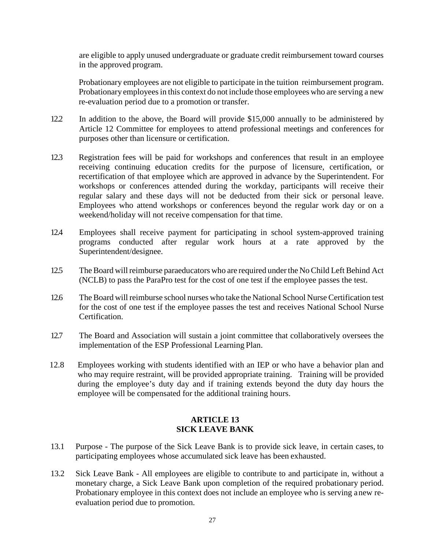in the approved program. are eligible to apply unused undergraduate or graduate credit reimbursement toward courses

 Probationary employees are not eligible to participate in the tuition reimbursement program. Probationary employees in this context do not include those employees who are serving a new re-evaluation period due to a promotion or transfer.

- 12.2 In addition to the above, the Board will provide \$15,000 annually to be administered by Article 12 Committee for employees to attend professional meetings and conferences for purposes other than licensure or certification.
- 12.3 Registration fees will be paid for workshops and conferences that result in an employee weekend/holiday will not receive compensation for that time. receiving continuing education credits for the purpose of licensure, certification, or recertification of that employee which are approved in advance by the Superintendent. For workshops or conferences attended during the workday, participants will receive their regular salary and these days will not be deducted from their sick or personal leave. Employees who attend workshops or conferences beyond the regular work day or on a
- programs conducted after regular work hours at a rate approved by the 12.4 Employees shall receive payment for participating in school system-approved training Superintendent/designee.
- 12.5 The Board will reimburse paraeducators who are required under the No Child Left Behind Act (NCLB) to pass the ParaPro test for the cost of one test if the employee passes the test.
- 12.6 The Board will reimburse school nurses who take the National School Nurse Certification test for the cost of one test if the employee passes the test and receives National School Nurse Certification.
- implementation of the ESP Professional Learning Plan. 12.7 The Board and Association will sustain a joint committee that collaboratively oversees the
- during the employee's duty day and if training extends beyond the duty day hours the 12.8 Employees working with students identified with an IEP or who have a behavior plan and who may require restraint, will be provided appropriate training. Training will be provided employee will be compensated for the additional training hours.

### **ARTICLE 13 SICK LEAVE BANK**

- 13.1 Purpose The purpose of the Sick Leave Bank is to provide sick leave, in certain cases, to participating employees whose accumulated sick leave has been exhausted.
- 13.2 Sick Leave Bank All employees are eligible to contribute to and participate in, without a monetary charge, a Sick Leave Bank upon completion of the required probationary period. evaluation period due to promotion. Probationary employee in this context does not include an employee who is serving anew re-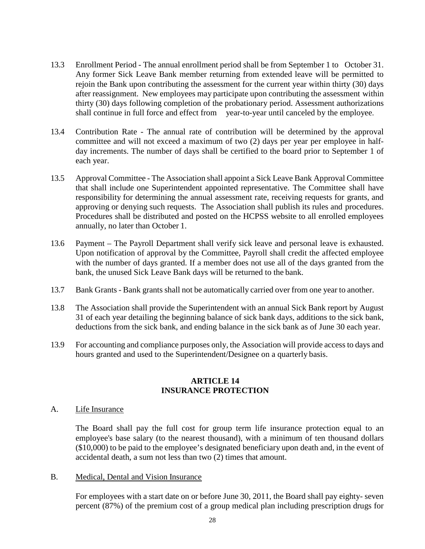- 13.3 Enrollment Period The annual enrollment period shall be from September 1 to October 31. Any former Sick Leave Bank member returning from extended leave will be permitted to rejoin the Bank upon contributing the assessment for the current year within thirty (30) days after reassignment. New employees may participate upon contributing the assessment within shall continue in full force and effect from year-to-year until canceled by the employee. thirty (30) days following completion of the probationary period. Assessment authorizations
- each year. 13.4 Contribution Rate - The annual rate of contribution will be determined by the approval committee and will not exceed a maximum of two (2) days per year per employee in halfday increments. The number of days shall be certified to the board prior to September 1 of
- that shall include one Superintendent appointed representative. The Committee shall have responsibility for determining the annual assessment rate, receiving requests for grants, and approving or denying such requests. The Association shall publish its rules and procedures. annually, no later than October 1. 13.5 Approval Committee - The Association shall appoint a Sick Leave Bank Approval Committee Procedures shall be distributed and posted on the HCPSS website to all enrolled employees
- 13.6 Payment The Payroll Department shall verify sick leave and personal leave is exhausted. Upon notification of approval by the Committee, Payroll shall credit the affected employee bank, the unused Sick Leave Bank days will be returned to the bank. with the number of days granted. If a member does not use all of the days granted from the
- 13.7 Bank Grants Bank grants shall not be automatically carried over from one year to another.
- 31 of each year detailing the beginning balance of sick bank days, additions to the sick bank, deductions from the sick bank, and ending balance in the sick bank as of June 30 each year. 13.8 The Association shall provide the Superintendent with an annual Sick Bank report by August
- 13.9 For accounting and compliance purposes only, the Association will provide access to days and hours granted and used to the Superintendent/Designee on a quarterly basis.

#### **ARTICLE 14 INSURANCE PROTECTION**

#### A. Life Insurance

 (\$10,000) to be paid to the employee's designated beneficiary upon death and, in the event of accidental death, a sum not less than two (2) times that amount. The Board shall pay the full cost for group term life insurance protection equal to an employee's base salary (to the nearest thousand), with a minimum of ten thousand dollars

B. Medical, Dental and Vision Insurance

 percent (87%) of the premium cost of a group medical plan including prescription drugs for For employees with a start date on or before June 30, 2011, the Board shall pay eighty- seven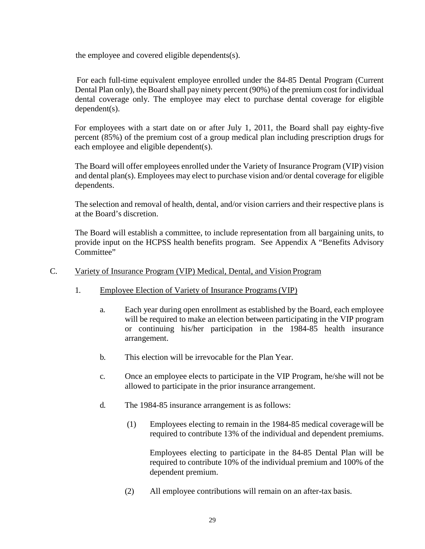the employee and covered eligible dependents(s).

 For each full-time equivalent employee enrolled under the 84-85 Dental Program (Current Dental Plan only), the Board shall pay ninety percent (90%) of the premium cost for individual dental coverage only. The employee may elect to purchase dental coverage for eligible dependent(s).

For employees with a start date on or after July 1, 2011, the Board shall pay eighty-five percent (85%) of the premium cost of a group medical plan including prescription drugs for each employee and eligible dependent(s).

 The Board will offer employees enrolled under the Variety of Insurance Program (VIP) vision and dental plan(s). Employees may elect to purchase vision and/or dental coverage for eligible dependents.

 The selection and removal of health, dental, and/or vision carriers and their respective plans is at the Board's discretion.

 provide input on the HCPSS health benefits program. See Appendix A "Benefits Advisory The Board will establish a committee, to include representation from all bargaining units, to Committee"

#### C. Variety of Insurance Program (VIP) Medical, Dental, and Vision Program

- 1. Employee Election of Variety of Insurance Programs (VIP)
	- a. Each year during open enrollment as established by the Board, each employee will be required to make an election between participating in the VIP program or continuing his/her participation in the 1984-85 health insurance arrangement.
	- b. This election will be irrevocable for the Plan Year.
	- c. Once an employee elects to participate in the VIP Program, he/she will not be allowed to participate in the prior insurance arrangement.
	- d. The 1984-85 insurance arrangement is as follows:
		- (1) Employees electing to remain in the 1984-85 medical coveragewill be required to contribute 13% of the individual and dependent premiums.

 Employees electing to participate in the 84-85 Dental Plan will be required to contribute 10% of the individual premium and 100% of the dependent premium.

(2) All employee contributions will remain on an after-tax basis.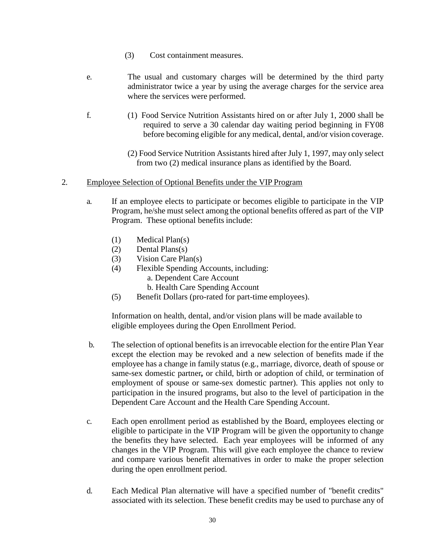- (3) Cost containment measures.
- administrator twice a year by using the average charges for the service area where the services were performed. e. The usual and customary charges will be determined by the third party
- f. (1) Food Service Nutrition Assistants hired on or after July 1, 2000 shall be before becoming eligible for any medical, dental, and/or vision coverage. required to serve a 30 calendar day waiting period beginning in FY08
	- (2) Food Service Nutrition Assistants hired after July 1, 1997, may only select from two (2) medical insurance plans as identified by the Board.
- 2. Employee Selection of Optional Benefits under the VIP Program
	- a. If an employee elects to participate or becomes eligible to participate in the VIP Program, he/she must select among the optional benefits offered as part of the VIP Program. These optional benefits include:
		- (1) Medical Plan(s)
		- (2) Dental Plans(s)
		- (3) Vision Care Plan(s)
		- (4) Flexible Spending Accounts, including:
			- a. Dependent Care Account
			- b. Health Care Spending Account
		- (5) Benefit Dollars (pro-rated for part-time employees).

Information on health, dental, and/or vision plans will be made available to eligible employees during the Open Enrollment Period.

- except the election may be revoked and a new selection of benefits made if the employee has a change in family status (e.g., marriage, divorce, death of spouse or Dependent Care Account and the Health Care Spending Account. b. The selection of optional benefits is an irrevocable election for the entire Plan Year same-sex domestic partner*,* or child, birth or adoption of child, or termination of employment of spouse or same-sex domestic partner). This applies not only to participation in the insured programs, but also to the level of participation in the
- eligible to participate in the VIP Program will be given the opportunity to change the benefits they have selected. Each year employees will be informed of any during the open enrollment period. c. Each open enrollment period as established by the Board, employees electing or changes in the VIP Program. This will give each employee the chance to review and compare various benefit alternatives in order to make the proper selection
- d. Each Medical Plan alternative will have a specified number of "benefit credits" associated with its selection. These benefit credits may be used to purchase any of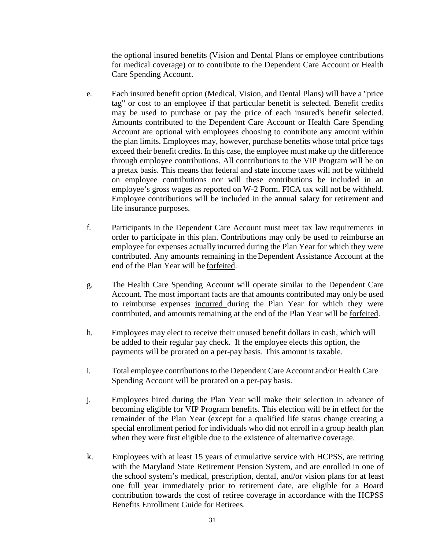for medical coverage) or to contribute to the Dependent Care Account or Health the optional insured benefits (Vision and Dental Plans or employee contributions Care Spending Account.

- e. Each insured benefit option (Medical, Vision, and Dental Plans) will have a "price employee's gross wages as reported on W-2 Form. FICA tax will not be withheld. life insurance purposes. tag" or cost to an employee if that particular benefit is selected. Benefit credits may be used to purchase or pay the price of each insured's benefit selected. Amounts contributed to the Dependent Care Account or Health Care Spending Account are optional with employees choosing to contribute any amount within the plan limits. Employees may, however, purchase benefits whose total price tags exceed their benefit credits. In this case, the employee must make up the difference through employee contributions. All contributions to the VIP Program will be on a pretax basis. This means that federal and state income taxes will not be withheld on employee contributions nor will these contributions be included in an Employee contributions will be included in the annual salary for retirement and
- f. Participants in the Dependent Care Account must meet tax law requirements in order to participate in this plan. Contributions may only be used to reimburse an employee for expenses actually incurred during the Plan Year for which they were end of the Plan Year will be **forfeited**. contributed. Any amounts remaining in the Dependent Assistance Account at the
- Account. The most important facts are that amounts contributed may only be used to reimburse expenses incurred during the Plan Year for which they were contributed, and amounts remaining at the end of the Plan Year will be forfeited. g. The Health Care Spending Account will operate similar to the Dependent Care
- be added to their regular pay check. If the employee elects this option, the h. Employees may elect to receive their unused benefit dollars in cash, which will payments will be prorated on a per-pay basis. This amount is taxable.
- i. Total employee contributions to the Dependent Care Account and/or Health Care Spending Account will be prorated on a per-pay basis.
- when they were first eligible due to the existence of alternative coverage. j. Employees hired during the Plan Year will make their selection in advance of becoming eligible for VIP Program benefits. This election will be in effect for the remainder of the Plan Year (except for a qualified life status change creating a special enrollment period for individuals who did not enroll in a group health plan
- k. Employees with at least 15 years of cumulative service with HCPSS, are retiring with the Maryland State Retirement Pension System, and are enrolled in one of the school system's medical, prescription, dental, and/or vision plans for at least one full year immediately prior to retirement date, are eligible for a Board contribution towards the cost of retiree coverage in accordance with the HCPSS Benefits Enrollment Guide for Retirees.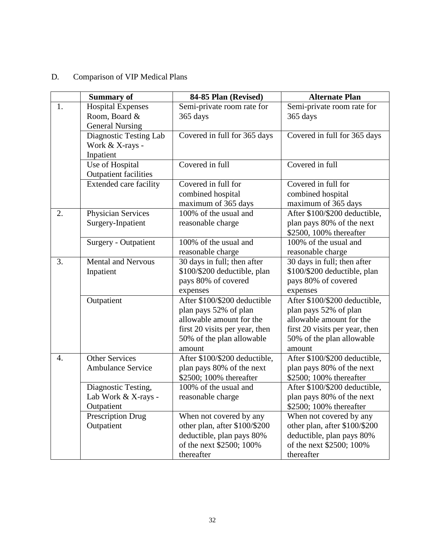#### D. Comparison of VIP Medical Plans

|    | <b>Summary of</b>                                                   | 84-85 Plan (Revised)                                                                                                                                       | <b>Alternate Plan</b>                                                                                                                                       |
|----|---------------------------------------------------------------------|------------------------------------------------------------------------------------------------------------------------------------------------------------|-------------------------------------------------------------------------------------------------------------------------------------------------------------|
| 1. | <b>Hospital Expenses</b><br>Room, Board &<br><b>General Nursing</b> | Semi-private room rate for<br>365 days                                                                                                                     | Semi-private room rate for<br>365 days                                                                                                                      |
|    | Diagnostic Testing Lab<br>Work & X-rays -<br>Inpatient              | Covered in full for 365 days                                                                                                                               | Covered in full for 365 days                                                                                                                                |
|    | Use of Hospital<br><b>Outpatient facilities</b>                     | Covered in full                                                                                                                                            | Covered in full                                                                                                                                             |
|    | <b>Extended care facility</b>                                       | Covered in full for<br>combined hospital<br>maximum of 365 days                                                                                            | Covered in full for<br>combined hospital<br>maximum of 365 days                                                                                             |
| 2. | Physician Services<br>Surgery-Inpatient                             | 100% of the usual and<br>reasonable charge                                                                                                                 | After \$100/\$200 deductible,<br>plan pays 80% of the next<br>\$2500, 100% thereafter                                                                       |
|    | Surgery - Outpatient                                                | 100% of the usual and<br>reasonable charge                                                                                                                 | 100% of the usual and<br>reasonable charge                                                                                                                  |
| 3. | <b>Mental and Nervous</b><br>Inpatient                              | 30 days in full; then after<br>\$100/\$200 deductible, plan<br>pays 80% of covered<br>expenses                                                             | 30 days in full; then after<br>\$100/\$200 deductible, plan<br>pays 80% of covered<br>expenses                                                              |
|    | Outpatient                                                          | After \$100/\$200 deductible<br>plan pays 52% of plan<br>allowable amount for the<br>first 20 visits per year, then<br>50% of the plan allowable<br>amount | After \$100/\$200 deductible,<br>plan pays 52% of plan<br>allowable amount for the<br>first 20 visits per year, then<br>50% of the plan allowable<br>amount |
| 4. | <b>Other Services</b><br><b>Ambulance Service</b>                   | After \$100/\$200 deductible,<br>plan pays 80% of the next<br>\$2500; 100% thereafter                                                                      | After \$100/\$200 deductible,<br>plan pays 80% of the next<br>\$2500; 100% thereafter                                                                       |
|    | Diagnostic Testing,<br>Lab Work & X-rays -<br>Outpatient            | 100% of the usual and<br>reasonable charge                                                                                                                 | After \$100/\$200 deductible,<br>plan pays 80% of the next<br>\$2500; 100% thereafter                                                                       |
|    | Prescription Drug<br>Outpatient                                     | When not covered by any<br>other plan, after \$100/\$200<br>deductible, plan pays 80%<br>of the next \$2500; 100%<br>thereafter                            | When not covered by any<br>other plan, after \$100/\$200<br>deductible, plan pays 80%<br>of the next \$2500; 100%<br>thereafter                             |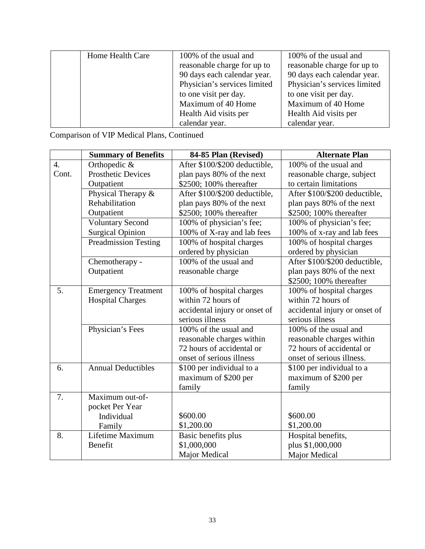| Home Health Care | 100% of the usual and<br>reasonable charge for up to | 100% of the usual and<br>reasonable charge for up to |
|------------------|------------------------------------------------------|------------------------------------------------------|
|                  | 90 days each calendar year.                          | 90 days each calendar year.                          |
|                  | Physician's services limited                         | Physician's services limited                         |
|                  | to one visit per day.                                | to one visit per day.                                |
|                  | Maximum of 40 Home                                   | Maximum of 40 Home                                   |
|                  | Health Aid visits per                                | Health Aid visits per                                |
|                  | calendar year.                                       | calendar year.                                       |

Comparison of VIP Medical Plans, Continued

|                  | <b>Summary of Benefits</b>  | 84-85 Plan (Revised)          | <b>Alternate Plan</b>         |
|------------------|-----------------------------|-------------------------------|-------------------------------|
| $\overline{4}$ . | Orthopedic &                | After \$100/\$200 deductible, | 100% of the usual and         |
| Cont.            | <b>Prosthetic Devices</b>   | plan pays 80% of the next     | reasonable charge, subject    |
|                  | Outpatient                  | \$2500; 100% thereafter       | to certain limitations        |
|                  | Physical Therapy &          | After \$100/\$200 deductible, | After \$100/\$200 deductible, |
|                  | Rehabilitation              | plan pays 80% of the next     | plan pays 80% of the next     |
|                  | Outpatient                  | \$2500; 100% thereafter       | \$2500; 100% thereafter       |
|                  | <b>Voluntary Second</b>     | 100% of physician's fee;      | 100% of physician's fee;      |
|                  | <b>Surgical Opinion</b>     | 100% of X-ray and lab fees    | 100% of x-ray and lab fees    |
|                  | <b>Preadmission Testing</b> | 100% of hospital charges      | 100% of hospital charges      |
|                  |                             | ordered by physician          | ordered by physician          |
|                  | Chemotherapy -              | 100% of the usual and         | After \$100/\$200 deductible, |
|                  | Outpatient                  | reasonable charge             | plan pays 80% of the next     |
|                  |                             |                               | \$2500; 100% thereafter       |
| 5.               | <b>Emergency Treatment</b>  | 100% of hospital charges      | 100% of hospital charges      |
|                  | <b>Hospital Charges</b>     | within 72 hours of            | within 72 hours of            |
|                  |                             | accidental injury or onset of | accidental injury or onset of |
|                  |                             | serious illness               | serious illness               |
|                  | Physician's Fees            | 100% of the usual and         | 100% of the usual and         |
|                  |                             | reasonable charges within     | reasonable charges within     |
|                  |                             | 72 hours of accidental or     | 72 hours of accidental or     |
|                  |                             | onset of serious illness      | onset of serious illness.     |
| 6.               | <b>Annual Deductibles</b>   | \$100 per individual to a     | \$100 per individual to a     |
|                  |                             | maximum of \$200 per          | maximum of \$200 per          |
|                  |                             | family                        | family                        |
| 7.               | Maximum out-of-             |                               |                               |
|                  | pocket Per Year             |                               |                               |
|                  | Individual                  | \$600.00                      | \$600.00                      |
|                  | Family                      | \$1,200.00                    | \$1,200.00                    |
| 8.               | Lifetime Maximum            | Basic benefits plus           | Hospital benefits,            |
|                  | Benefit                     | \$1,000,000                   | plus \$1,000,000              |
|                  |                             | Major Medical                 | Major Medical                 |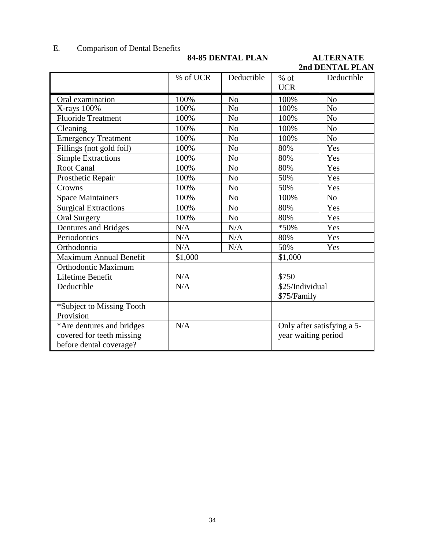#### E. Comparison of Dental Benefits

## **84-85 DENTAL PLAN ALTERNATE**

**2nd DENTAL PLAN** 

|                               | % of UCR | Deductible     | $%$ of              | Deductible                 |
|-------------------------------|----------|----------------|---------------------|----------------------------|
|                               |          |                | <b>UCR</b>          |                            |
| Oral examination              | 100%     | N <sub>o</sub> | 100%                | N <sub>o</sub>             |
| $X$ -rays $100\%$             | 100%     | N <sub>0</sub> | 100%                | N <sub>o</sub>             |
| <b>Fluoride Treatment</b>     | 100%     | N <sub>0</sub> | 100%                | N <sub>o</sub>             |
| Cleaning                      | 100%     | N <sub>o</sub> | 100%                | No                         |
| <b>Emergency Treatment</b>    | 100%     | N <sub>o</sub> | 100%                | N <sub>o</sub>             |
| Fillings (not gold foil)      | 100%     | N <sub>o</sub> | 80%                 | Yes                        |
| <b>Simple Extractions</b>     | 100%     | N <sub>o</sub> | 80%                 | Yes                        |
| <b>Root Canal</b>             | 100%     | N <sub>o</sub> | 80%                 | Yes                        |
| Prosthetic Repair             | 100%     | N <sub>0</sub> | 50%                 | Yes                        |
| Crowns                        | 100%     | N <sub>o</sub> | 50%                 | Yes                        |
| <b>Space Maintainers</b>      | 100%     | N <sub>o</sub> | 100%                | N <sub>o</sub>             |
| <b>Surgical Extractions</b>   | 100%     | N <sub>o</sub> | 80%                 | Yes                        |
| <b>Oral Surgery</b>           | 100%     | No             | 80%                 | Yes                        |
| <b>Dentures and Bridges</b>   | N/A      | N/A            | *50%                | Yes                        |
| Periodontics                  | N/A      | N/A            | 80%                 | Yes                        |
| Orthodontia                   | N/A      | N/A            | 50%                 | Yes                        |
| <b>Maximum Annual Benefit</b> | \$1,000  |                | \$1,000             |                            |
| <b>Orthodontic Maximum</b>    |          |                |                     |                            |
| Lifetime Benefit              | N/A      |                | \$750               |                            |
| Deductible                    | N/A      |                | \$25/Individual     |                            |
|                               |          |                | \$75/Family         |                            |
| *Subject to Missing Tooth     |          |                |                     |                            |
| Provision                     |          |                |                     |                            |
| *Are dentures and bridges     | N/A      |                |                     | Only after satisfying a 5- |
| covered for teeth missing     |          |                | year waiting period |                            |
| before dental coverage?       |          |                |                     |                            |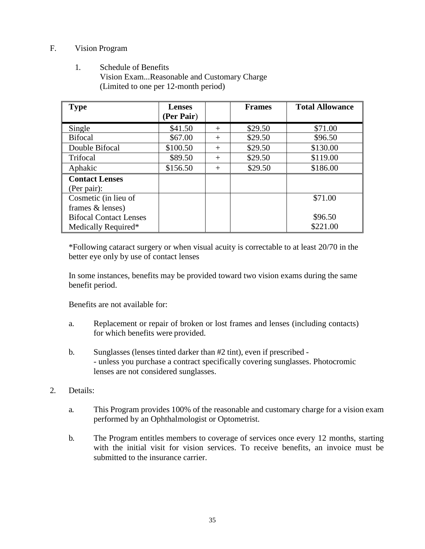### F. Vision Program

 1. Schedule of Benefits Vision Exam...Reasonable and Customary Charge (Limited to one per 12-month period)

| <b>Type</b>                   | <b>Lenses</b> |        | <b>Frames</b> | <b>Total Allowance</b> |
|-------------------------------|---------------|--------|---------------|------------------------|
|                               | (Per Pair)    |        |               |                        |
| Single                        | \$41.50       | $^{+}$ | \$29.50       | \$71.00                |
| <b>Bifocal</b>                | \$67.00       | $^{+}$ | \$29.50       | \$96.50                |
| Double Bifocal                | \$100.50      | $^{+}$ | \$29.50       | \$130.00               |
| Trifocal                      | \$89.50       | $\pm$  | \$29.50       | \$119.00               |
| Aphakic                       | \$156.50      | $^{+}$ | \$29.50       | \$186.00               |
| <b>Contact Lenses</b>         |               |        |               |                        |
| (Per pair):                   |               |        |               |                        |
| Cosmetic (in lieu of          |               |        |               | \$71.00                |
| frames & lenses)              |               |        |               |                        |
| <b>Bifocal Contact Lenses</b> |               |        |               | \$96.50                |
| Medically Required*           |               |        |               | \$221.00               |

 \*Following cataract surgery or when visual acuity is correctable to at least 20/70 in the better eye only by use of contact lenses

In some instances, benefits may be provided toward two vision exams during the same benefit period.

Benefits are not available for:

- for which benefits were provided. a. Replacement or repair of broken or lost frames and lenses (including contacts)
- b. Sunglasses (lenses tinted darker than #2 tint), even if prescribed - unless you purchase a contract specifically covering sunglasses. Photocromic lenses are not considered sunglasses.
- 2. Details:
	- a. This Program provides 100% of the reasonable and customary charge for a vision exam performed by an Ophthalmologist or Optometrist.
	- b. The Program entitles members to coverage of services once every 12 months, starting submitted to the insurance carrier. with the initial visit for vision services. To receive benefits, an invoice must be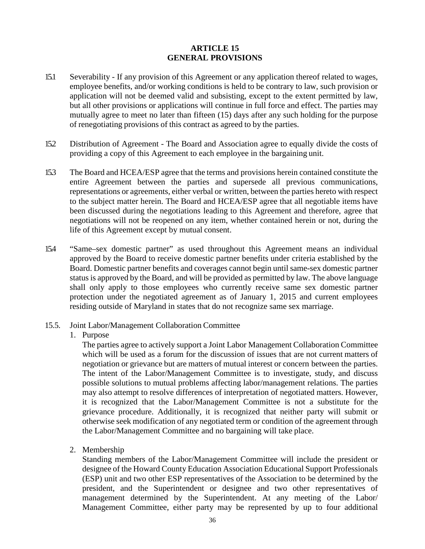#### **ARTICLE 15 GENERAL PROVISIONS**

- mutually agree to meet no later than fifteen (15) days after any such holding for the purpose of renegotiating provisions of this contract as agreed to by the parties. 15.1 Severability - If any provision of this Agreement or any application thereof related to wages, employee benefits, and/or working conditions is held to be contrary to law, such provision or application will not be deemed valid and subsisting, except to the extent permitted by law, but all other provisions or applications will continue in full force and effect. The parties may
- providing a copy of this Agreement to each employee in the bargaining unit. 15.2 Distribution of Agreement - The Board and Association agree to equally divide the costs of
- 15.3 The Board and HCEA/ESP agree that the terms and provisions herein contained constitute the to the subject matter herein. The Board and HCEA/ESP agree that all negotiable items have been discussed during the negotiations leading to this Agreement and therefore, agree that negotiations will not be reopened on any item, whether contained herein or not, during the life of this Agreement except by mutual consent. entire Agreement between the parties and supersede all previous communications, representations or agreements, either verbal or written, between the parties hereto with respect
- approved by the Board to receive domestic partner benefits under criteria established by the 15.4 "Same–sex domestic partner" as used throughout this Agreement means an individual Board. Domestic partner benefits and coverages cannot begin until same-sex domestic partner status is approved by the Board, and will be provided as permitted by law. The above language shall only apply to those employees who currently receive same sex domestic partner protection under the negotiated agreement as of January 1, 2015 and current employees residing outside of Maryland in states that do not recognize same sex marriage.
- 15.5. Joint Labor/Management Collaboration Committee
	- 1. Purpose

 which will be used as a forum for the discussion of issues that are not current matters of negotiation or grievance but are matters of mutual interest or concern between the parties. the Labor/Management Committee and no bargaining will take place. The parties agree to actively support a Joint Labor Management Collaboration Committee The intent of the Labor/Management Committee is to investigate, study, and discuss possible solutions to mutual problems affecting labor/management relations. The parties may also attempt to resolve differences of interpretation of negotiated matters. However, it is recognized that the Labor/Management Committee is not a substitute for the grievance procedure. Additionally, it is recognized that neither party will submit or otherwise seek modification of any negotiated term or condition of the agreement through

2. Membership

 management determined by the Superintendent. At any meeting of the Labor/ Standing members of the Labor/Management Committee will include the president or designee of the Howard County Education Association Educational Support Professionals (ESP) unit and two other ESP representatives of the Association to be determined by the president, and the Superintendent or designee and two other representatives of Management Committee, either party may be represented by up to four additional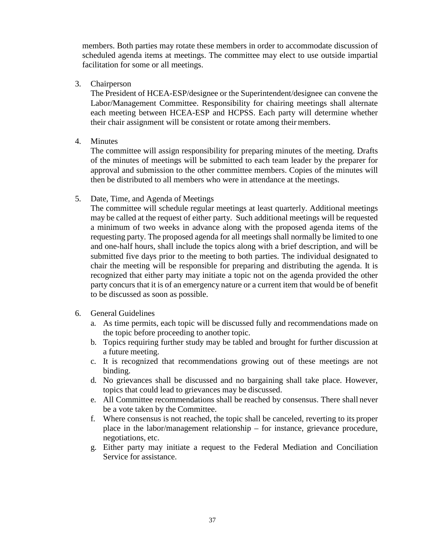members. Both parties may rotate these members in order to accommodate discussion of scheduled agenda items at meetings. The committee may elect to use outside impartial facilitation for some or all meetings.

3. Chairperson

 The President of HCEA-ESP/designee or the Superintendent/designee can convene the their chair assignment will be consistent or rotate among their members. Labor/Management Committee. Responsibility for chairing meetings shall alternate each meeting between HCEA-ESP and HCPSS. Each party will determine whether

4. Minutes

 of the minutes of meetings will be submitted to each team leader by the preparer for approval and submission to the other committee members. Copies of the minutes will The committee will assign responsibility for preparing minutes of the meeting. Drafts then be distributed to all members who were in attendance at the meetings.

5. Date, Time, and Agenda of Meetings

 may be called at the request of either party. Such additional meetings will be requested requesting party. The proposed agenda for all meetings shall normally be limited to one party concurs that it is of an emergency nature or a current item that would be of benefit to be discussed as soon as possible. The committee will schedule regular meetings at least quarterly. Additional meetings a minimum of two weeks in advance along with the proposed agenda items of the and one-half hours, shall include the topics along with a brief description, and will be submitted five days prior to the meeting to both parties. The individual designated to chair the meeting will be responsible for preparing and distributing the agenda. It is recognized that either party may initiate a topic not on the agenda provided the other

- 6. General Guidelines
	- the topic before proceeding to another topic. a. As time permits, each topic will be discussed fully and recommendations made on
	- b. Topics requiring further study may be tabled and brought for further discussion at a future meeting.
	- c. It is recognized that recommendations growing out of these meetings are not binding.
	- topics that could lead to grievances may be discussed. d. No grievances shall be discussed and no bargaining shall take place. However,
	- be a vote taken by the Committee. e. All Committee recommendations shall be reached by consensus. There shall never
	- f. Where consensus is not reached, the topic shall be canceled, reverting to its proper negotiations, etc. place in the labor/management relationship – for instance, grievance procedure,
	- Service for assistance. g. Either party may initiate a request to the Federal Mediation and Conciliation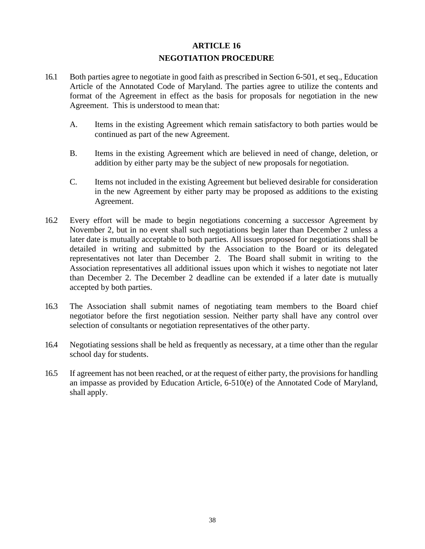# **ARTICLE 16 NEGOTIATION PROCEDURE**

- <span id="page-39-0"></span> Article of the Annotated Code of Maryland. The parties agree to utilize the contents and format of the Agreement in effect as the basis for proposals for negotiation in the new Agreement. This is understood to mean that: 16.1 Both parties agree to negotiate in good faith as prescribed in Section 6-501, et seq., Education
	- A. Items in the existing Agreement which remain satisfactory to both parties would be continued as part of the new Agreement.
	- addition by either party may be the subject of new proposals for negotiation. B. Items in the existing Agreement which are believed in need of change, deletion, or
	- C. Items not included in the existing Agreement but believed desirable for consideration in the new Agreement by either party may be proposed as additions to the existing Agreement.
- representatives not later than December 2. The Board shall submit in writing to the Association representatives all additional issues upon which it wishes to negotiate not later accepted by both parties. 16.2 Every effort will be made to begin negotiations concerning a successor Agreement by November 2, but in no event shall such negotiations begin later than December 2 unless a later date is mutually acceptable to both parties. All issues proposed for negotiations shall be detailed in writing and submitted by the Association to the Board or its delegated than December 2. The December 2 deadline can be extended if a later date is mutually
- selection of consultants or negotiation representatives of the other party. 16.3 The Association shall submit names of negotiating team members to the Board chief negotiator before the first negotiation session. Neither party shall have any control over
- school day for students. 16.4 Negotiating sessions shall be held as frequently as necessary, at a time other than the regular
- shall apply. 16.5 If agreement has not been reached, or at the request of either party, the provisions for handling an impasse as provided by Education Article, 6-510(e) of the Annotated Code of Maryland,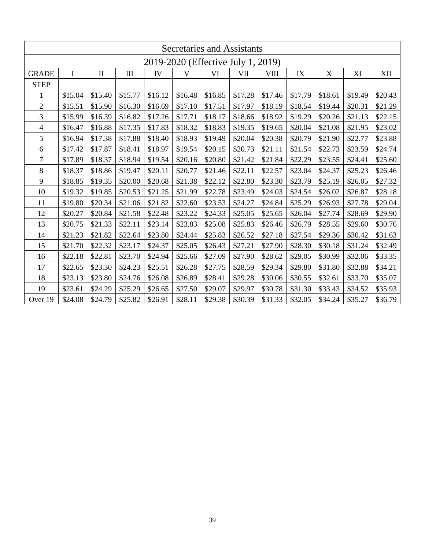| Secretaries and Assistants         |             |              |           |         |         |         |         |             |         |         |         |         |
|------------------------------------|-------------|--------------|-----------|---------|---------|---------|---------|-------------|---------|---------|---------|---------|
| 2019-2020 (Effective July 1, 2019) |             |              |           |         |         |         |         |             |         |         |         |         |
| <b>GRADE</b>                       | $\mathbf I$ | $\mathbf{I}$ | $\rm III$ | IV      | V       | VI      | VII     | <b>VIII</b> | IX      | X       | XI      | XII     |
| <b>STEP</b>                        |             |              |           |         |         |         |         |             |         |         |         |         |
| 1                                  | \$15.04     | \$15.40      | \$15.77   | \$16.12 | \$16.48 | \$16.85 | \$17.28 | \$17.46     | \$17.79 | \$18.61 | \$19.49 | \$20.43 |
| $\overline{2}$                     | \$15.51     | \$15.90      | \$16.30   | \$16.69 | \$17.10 | \$17.51 | \$17.97 | \$18.19     | \$18.54 | \$19.44 | \$20.31 | \$21.29 |
| 3                                  | \$15.99     | \$16.39      | \$16.82   | \$17.26 | \$17.71 | \$18.17 | \$18.66 | \$18.92     | \$19.29 | \$20.26 | \$21.13 | \$22.15 |
| 4                                  | \$16.47     | \$16.88      | \$17.35   | \$17.83 | \$18.32 | \$18.83 | \$19.35 | \$19.65     | \$20.04 | \$21.08 | \$21.95 | \$23.02 |
| 5                                  | \$16.94     | \$17.38      | \$17.88   | \$18.40 | \$18.93 | \$19.49 | \$20.04 | \$20.38     | \$20.79 | \$21.90 | \$22.77 | \$23.88 |
| 6                                  | \$17.42     | \$17.87      | \$18.41   | \$18.97 | \$19.54 | \$20.15 | \$20.73 | \$21.11     | \$21.54 | \$22.73 | \$23.59 | \$24.74 |
| 7                                  | \$17.89     | \$18.37      | \$18.94   | \$19.54 | \$20.16 | \$20.80 | \$21.42 | \$21.84     | \$22.29 | \$23.55 | \$24.41 | \$25.60 |
| 8                                  | \$18.37     | \$18.86      | \$19.47   | \$20.11 | \$20.77 | \$21.46 | \$22.11 | \$22.57     | \$23.04 | \$24.37 | \$25.23 | \$26.46 |
| 9                                  | \$18.85     | \$19.35      | \$20.00   | \$20.68 | \$21.38 | \$22.12 | \$22.80 | \$23.30     | \$23.79 | \$25.19 | \$26.05 | \$27.32 |
| 10                                 | \$19.32     | \$19.85      | \$20.53   | \$21.25 | \$21.99 | \$22.78 | \$23.49 | \$24.03     | \$24.54 | \$26.02 | \$26.87 | \$28.18 |
| 11                                 | \$19.80     | \$20.34      | \$21.06   | \$21.82 | \$22.60 | \$23.53 | \$24.27 | \$24.84     | \$25.29 | \$26.93 | \$27.78 | \$29.04 |
| 12                                 | \$20.27     | \$20.84      | \$21.58   | \$22.48 | \$23.22 | \$24.33 | \$25.05 | \$25.65     | \$26.04 | \$27.74 | \$28.69 | \$29.90 |
| 13                                 | \$20.75     | \$21.33      | \$22.11   | \$23.14 | \$23.83 | \$25.08 | \$25.83 | \$26.46     | \$26.79 | \$28.55 | \$29.60 | \$30.76 |
| 14                                 | \$21.23     | \$21.82      | \$22.64   | \$23.80 | \$24.44 | \$25.83 | \$26.52 | \$27.18     | \$27.54 | \$29.36 | \$30.42 | \$31.63 |
| 15                                 | \$21.70     | \$22.32      | \$23.17   | \$24.37 | \$25.05 | \$26.43 | \$27.21 | \$27.90     | \$28.30 | \$30.18 | \$31.24 | \$32.49 |
| 16                                 | \$22.18     | \$22.81      | \$23.70   | \$24.94 | \$25.66 | \$27.09 | \$27.90 | \$28.62     | \$29.05 | \$30.99 | \$32.06 | \$33.35 |
| 17                                 | \$22.65     | \$23.30      | \$24.23   | \$25.51 | \$26.28 | \$27.75 | \$28.59 | \$29.34     | \$29.80 | \$31.80 | \$32.88 | \$34.21 |
| 18                                 | \$23.13     | \$23.80      | \$24.76   | \$26.08 | \$26.89 | \$28.41 | \$29.28 | \$30.06     | \$30.55 | \$32.61 | \$33.70 | \$35.07 |
| 19                                 | \$23.61     | \$24.29      | \$25.29   | \$26.65 | \$27.50 | \$29.07 | \$29.97 | \$30.78     | \$31.30 | \$33.43 | \$34.52 | \$35.93 |
| Over 19                            | \$24.08     | \$24.79      | \$25.82   | \$26.91 | \$28.11 | \$29.38 | \$30.39 | \$31.33     | \$32.05 | \$34.24 | \$35.27 | \$36.79 |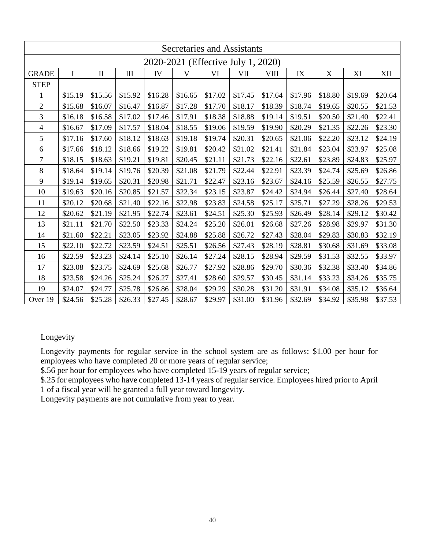|                                    | Secretaries and Assistants |              |         |         |         |         |         |              |         |         |         |         |
|------------------------------------|----------------------------|--------------|---------|---------|---------|---------|---------|--------------|---------|---------|---------|---------|
| 2020-2021 (Effective July 1, 2020) |                            |              |         |         |         |         |         |              |         |         |         |         |
| <b>GRADE</b>                       | $\mathbf I$                | $\mathbf{I}$ | III     | IV      | V       | VI      | VII     | ${\rm VIII}$ | IX      | X       | XI      | XII     |
| <b>STEP</b>                        |                            |              |         |         |         |         |         |              |         |         |         |         |
| 1                                  | \$15.19                    | \$15.56      | \$15.92 | \$16.28 | \$16.65 | \$17.02 | \$17.45 | \$17.64      | \$17.96 | \$18.80 | \$19.69 | \$20.64 |
| $\sqrt{2}$                         | \$15.68                    | \$16.07      | \$16.47 | \$16.87 | \$17.28 | \$17.70 | \$18.17 | \$18.39      | \$18.74 | \$19.65 | \$20.55 | \$21.53 |
| 3                                  | \$16.18                    | \$16.58      | \$17.02 | \$17.46 | \$17.91 | \$18.38 | \$18.88 | \$19.14      | \$19.51 | \$20.50 | \$21.40 | \$22.41 |
| $\overline{4}$                     | \$16.67                    | \$17.09      | \$17.57 | \$18.04 | \$18.55 | \$19.06 | \$19.59 | \$19.90      | \$20.29 | \$21.35 | \$22.26 | \$23.30 |
| 5                                  | \$17.16                    | \$17.60      | \$18.12 | \$18.63 | \$19.18 | \$19.74 | \$20.31 | \$20.65      | \$21.06 | \$22.20 | \$23.12 | \$24.19 |
| 6                                  | \$17.66                    | \$18.12      | \$18.66 | \$19.22 | \$19.81 | \$20.42 | \$21.02 | \$21.41      | \$21.84 | \$23.04 | \$23.97 | \$25.08 |
| $\tau$                             | \$18.15                    | \$18.63      | \$19.21 | \$19.81 | \$20.45 | \$21.11 | \$21.73 | \$22.16      | \$22.61 | \$23.89 | \$24.83 | \$25.97 |
| 8                                  | \$18.64                    | \$19.14      | \$19.76 | \$20.39 | \$21.08 | \$21.79 | \$22.44 | \$22.91      | \$23.39 | \$24.74 | \$25.69 | \$26.86 |
| 9                                  | \$19.14                    | \$19.65      | \$20.31 | \$20.98 | \$21.71 | \$22.47 | \$23.16 | \$23.67      | \$24.16 | \$25.59 | \$26.55 | \$27.75 |
| 10                                 | \$19.63                    | \$20.16      | \$20.85 | \$21.57 | \$22.34 | \$23.15 | \$23.87 | \$24.42      | \$24.94 | \$26.44 | \$27.40 | \$28.64 |
| 11                                 | \$20.12                    | \$20.68      | \$21.40 | \$22.16 | \$22.98 | \$23.83 | \$24.58 | \$25.17      | \$25.71 | \$27.29 | \$28.26 | \$29.53 |
| 12                                 | \$20.62                    | \$21.19      | \$21.95 | \$22.74 | \$23.61 | \$24.51 | \$25.30 | \$25.93      | \$26.49 | \$28.14 | \$29.12 | \$30.42 |
| 13                                 | \$21.11                    | \$21.70      | \$22.50 | \$23.33 | \$24.24 | \$25.20 | \$26.01 | \$26.68      | \$27.26 | \$28.98 | \$29.97 | \$31.30 |
| 14                                 | \$21.60                    | \$22.21      | \$23.05 | \$23.92 | \$24.88 | \$25.88 | \$26.72 | \$27.43      | \$28.04 | \$29.83 | \$30.83 | \$32.19 |
| 15                                 | \$22.10                    | \$22.72      | \$23.59 | \$24.51 | \$25.51 | \$26.56 | \$27.43 | \$28.19      | \$28.81 | \$30.68 | \$31.69 | \$33.08 |
| 16                                 | \$22.59                    | \$23.23      | \$24.14 | \$25.10 | \$26.14 | \$27.24 | \$28.15 | \$28.94      | \$29.59 | \$31.53 | \$32.55 | \$33.97 |
| 17                                 | \$23.08                    | \$23.75      | \$24.69 | \$25.68 | \$26.77 | \$27.92 | \$28.86 | \$29.70      | \$30.36 | \$32.38 | \$33.40 | \$34.86 |
| 18                                 | \$23.58                    | \$24.26      | \$25.24 | \$26.27 | \$27.41 | \$28.60 | \$29.57 | \$30.45      | \$31.14 | \$33.23 | \$34.26 | \$35.75 |
| 19                                 | \$24.07                    | \$24.77      | \$25.78 | \$26.86 | \$28.04 | \$29.29 | \$30.28 | \$31.20      | \$31.91 | \$34.08 | \$35.12 | \$36.64 |
| Over 19                            | \$24.56                    | \$25.28      | \$26.33 | \$27.45 | \$28.67 | \$29.97 | \$31.00 | \$31.96      | \$32.69 | \$34.92 | \$35.98 | \$37.53 |

## **Longevity**

 Longevity payments for regular service in the school system are as follows: \$1.00 per hour for employees who have completed 20 or more years of regular service;

\$.56 per hour for employees who have completed 15-19 years of regular service;

 1 of a fiscal year will be granted a full year toward longevity. \$.25 for employees who have completed 13-14 years of regular service. Employees hired prior to April

Longevity payments are not cumulative from year to year.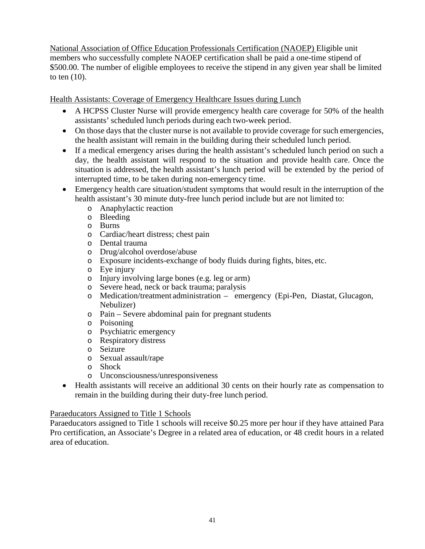National Association of Office Education Professionals Certification (NAOEP) Eligible unit members who successfully complete NAOEP certification shall be paid a one-time stipend of \$500.00. The number of eligible employees to receive the stipend in any given year shall be limited to ten (10).

Health Assistants: Coverage of Emergency Healthcare Issues during Lunch

- • A HCPSS Cluster Nurse will provide emergency health care coverage for 50% of the health assistants' scheduled lunch periods during each two-week period.
- • On those days that the cluster nurse is not available to provide coverage for such emergencies, the health assistant will remain in the building during their scheduled lunch period.
- day, the health assistant will respond to the situation and provide health care. Once the situation is addressed, the health assistant's lunch period will be extended by the period of interrupted time, to be taken during non-emergency time. • If a medical emergency arises during the health assistant's scheduled lunch period on such a
- health assistant's 30 minute duty-free lunch period include but are not limited to: • Emergency health care situation/student symptoms that would result in the interruption of the
	- o Anaphylactic reaction
	- o Bleeding
	- o Burns
	- o Cardiac/heart distress; chest pain
	- o Dental trauma
	- o Drug/alcohol overdose/abuse
	- o Exposure incidents-exchange of body fluids during fights, bites, etc.
	- o Eye injury
	- o Injury involving large bones (e.g. leg or arm)
	- o Severe head, neck or back trauma; paralysis
	- o Medication/treatment administration emergency (Epi-Pen, Diastat, Glucagon, Nebulizer)
	- o Pain Severe abdominal pain for pregnant students
	- o Poisoning
	- o Psychiatric emergency
	- o Respiratory distress
	- o Seizure
	- o Sexual assault/rape
	- o Shock
	- o Unconsciousness/unresponsiveness
- • Health assistants will receive an additional 30 cents on their hourly rate as compensation to remain in the building during their duty-free lunch period.

### Paraeducators Assigned to Title 1 Schools

 Paraeducators assigned to Title 1 schools will receive \$0.25 more per hour if they have attained Para Pro certification, an Associate's Degree in a related area of education, or 48 credit hours in a related area of education.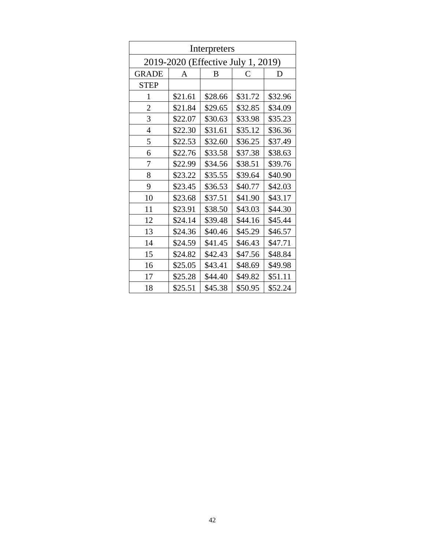| Interpreters                       |         |         |         |         |  |  |  |  |  |
|------------------------------------|---------|---------|---------|---------|--|--|--|--|--|
| 2019-2020 (Effective July 1, 2019) |         |         |         |         |  |  |  |  |  |
| <b>GRADE</b>                       | A       | B       | C       | D       |  |  |  |  |  |
| <b>STEP</b>                        |         |         |         |         |  |  |  |  |  |
| 1                                  | \$21.61 | \$28.66 | \$31.72 | \$32.96 |  |  |  |  |  |
| $\overline{2}$                     | \$21.84 | \$29.65 | \$32.85 | \$34.09 |  |  |  |  |  |
| 3                                  | \$22.07 | \$30.63 | \$33.98 | \$35.23 |  |  |  |  |  |
| $\overline{4}$                     | \$22.30 | \$31.61 | \$35.12 | \$36.36 |  |  |  |  |  |
| 5                                  | \$22.53 | \$32.60 | \$36.25 | \$37.49 |  |  |  |  |  |
| 6                                  | \$22.76 | \$33.58 | \$37.38 | \$38.63 |  |  |  |  |  |
| 7                                  | \$22.99 | \$34.56 | \$38.51 | \$39.76 |  |  |  |  |  |
| 8                                  | \$23.22 | \$35.55 | \$39.64 | \$40.90 |  |  |  |  |  |
| 9                                  | \$23.45 | \$36.53 | \$40.77 | \$42.03 |  |  |  |  |  |
| 10                                 | \$23.68 | \$37.51 | \$41.90 | \$43.17 |  |  |  |  |  |
| 11                                 | \$23.91 | \$38.50 | \$43.03 | \$44.30 |  |  |  |  |  |
| 12                                 | \$24.14 | \$39.48 | \$44.16 | \$45.44 |  |  |  |  |  |
| 13                                 | \$24.36 | \$40.46 | \$45.29 | \$46.57 |  |  |  |  |  |
| 14                                 | \$24.59 | \$41.45 | \$46.43 | \$47.71 |  |  |  |  |  |
| 15                                 | \$24.82 | \$42.43 | \$47.56 | \$48.84 |  |  |  |  |  |
| 16                                 | \$25.05 | \$43.41 | \$48.69 | \$49.98 |  |  |  |  |  |
| 17                                 | \$25.28 | \$44.40 | \$49.82 | \$51.11 |  |  |  |  |  |
| 18                                 | \$25.51 | \$45.38 | \$50.95 | \$52.24 |  |  |  |  |  |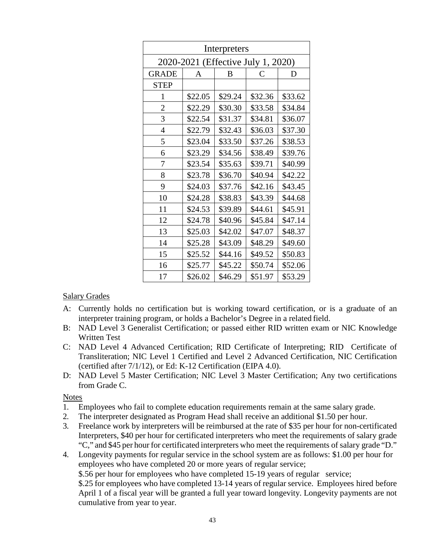| Interpreters                       |         |         |         |         |  |  |  |  |  |
|------------------------------------|---------|---------|---------|---------|--|--|--|--|--|
| 2020-2021 (Effective July 1, 2020) |         |         |         |         |  |  |  |  |  |
| <b>GRADE</b>                       | A       | B       | C       | D       |  |  |  |  |  |
| <b>STEP</b>                        |         |         |         |         |  |  |  |  |  |
| 1                                  | \$22.05 | \$29.24 | \$32.36 | \$33.62 |  |  |  |  |  |
| $\overline{2}$                     | \$22.29 | \$30.30 | \$33.58 | \$34.84 |  |  |  |  |  |
| 3                                  | \$22.54 | \$31.37 | \$34.81 | \$36.07 |  |  |  |  |  |
| $\overline{4}$                     | \$22.79 | \$32.43 | \$36.03 | \$37.30 |  |  |  |  |  |
| 5                                  | \$23.04 | \$33.50 | \$37.26 | \$38.53 |  |  |  |  |  |
| 6                                  | \$23.29 | \$34.56 | \$38.49 | \$39.76 |  |  |  |  |  |
| 7                                  | \$23.54 | \$35.63 | \$39.71 | \$40.99 |  |  |  |  |  |
| 8                                  | \$23.78 | \$36.70 | \$40.94 | \$42.22 |  |  |  |  |  |
| 9                                  | \$24.03 | \$37.76 | \$42.16 | \$43.45 |  |  |  |  |  |
| 10                                 | \$24.28 | \$38.83 | \$43.39 | \$44.68 |  |  |  |  |  |
| 11                                 | \$24.53 | \$39.89 | \$44.61 | \$45.91 |  |  |  |  |  |
| 12                                 | \$24.78 | \$40.96 | \$45.84 | \$47.14 |  |  |  |  |  |
| 13                                 | \$25.03 | \$42.02 | \$47.07 | \$48.37 |  |  |  |  |  |
| 14                                 | \$25.28 | \$43.09 | \$48.29 | \$49.60 |  |  |  |  |  |
| 15                                 | \$25.52 | \$44.16 | \$49.52 | \$50.83 |  |  |  |  |  |
| 16                                 | \$25.77 | \$45.22 | \$50.74 | \$52.06 |  |  |  |  |  |
| 17                                 | \$26.02 | \$46.29 | \$51.97 | \$53.29 |  |  |  |  |  |

### Salary Grades

- A: Currently holds no certification but is working toward certification, or is a graduate of an interpreter training program, or holds a Bachelor's Degree in a related field.
- B: NAD Level 3 Generalist Certification; or passed either RID written exam or NIC Knowledge Written Test
- (certified after 7/1/12), or Ed: K-12 Certification (EIPA 4.0). C: NAD Level 4 Advanced Certification; RID Certificate of Interpreting; RID Certificate of Transliteration; NIC Level 1 Certified and Level 2 Advanced Certification, NIC Certification
- D: NAD Level 5 Master Certification; NIC Level 3 Master Certification; Any two certifications from Grade C.

- 1. Employees who fail to complete education requirements remain at the same salary grade.
- 2. The interpreter designated as Program Head shall receive an additional \$1.50 per hour.
- Interpreters, \$40 per hour for certificated interpreters who meet the requirements of salary grade "C," and \$45 per hour for certificated interpreters who meet the requirements of salary grade "D." 3. Freelance work by interpreters will be reimbursed at the rate of \$35 per hour for non-certificated
- cumulative from year to year. 4. Longevity payments for regular service in the school system are as follows: \$1.00 per hour for employees who have completed 20 or more years of regular service; \$.56 per hour for employees who have completed 15-19 years of regular service; \$.25 for employees who have completed 13-14 years of regular service. Employees hired before April 1 of a fiscal year will be granted a full year toward longevity. Longevity payments are not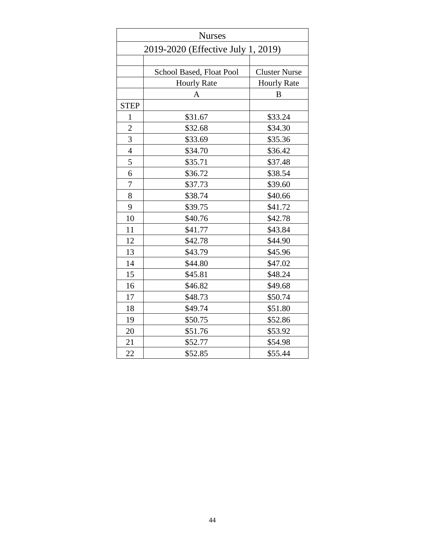|                | <b>Nurses</b>                      |                      |  |  |  |  |  |
|----------------|------------------------------------|----------------------|--|--|--|--|--|
|                | 2019-2020 (Effective July 1, 2019) |                      |  |  |  |  |  |
|                |                                    |                      |  |  |  |  |  |
|                | School Based, Float Pool           | <b>Cluster Nurse</b> |  |  |  |  |  |
|                | <b>Hourly Rate</b>                 | <b>Hourly Rate</b>   |  |  |  |  |  |
|                | A                                  | B                    |  |  |  |  |  |
| <b>STEP</b>    |                                    |                      |  |  |  |  |  |
| $\mathbf{1}$   | \$31.67                            | \$33.24              |  |  |  |  |  |
| $\overline{2}$ | \$32.68                            | \$34.30              |  |  |  |  |  |
| 3              | \$33.69                            | \$35.36              |  |  |  |  |  |
| $\overline{4}$ | \$34.70                            | \$36.42              |  |  |  |  |  |
| 5              | \$35.71                            | \$37.48              |  |  |  |  |  |
| 6              | \$36.72                            | \$38.54              |  |  |  |  |  |
| 7              | \$37.73                            | \$39.60              |  |  |  |  |  |
| 8              | \$38.74                            | \$40.66              |  |  |  |  |  |
| 9              | \$39.75                            | \$41.72              |  |  |  |  |  |
| 10             | \$40.76                            | \$42.78              |  |  |  |  |  |
| 11             | \$41.77                            | \$43.84              |  |  |  |  |  |
| 12             | \$42.78                            | \$44.90              |  |  |  |  |  |
| 13             | \$43.79                            | \$45.96              |  |  |  |  |  |
| 14             | \$44.80                            | \$47.02              |  |  |  |  |  |
| 15             | \$45.81                            | \$48.24              |  |  |  |  |  |
| 16             | \$46.82                            | \$49.68              |  |  |  |  |  |
| 17             | \$48.73                            | \$50.74              |  |  |  |  |  |
| 18             | \$49.74                            | \$51.80              |  |  |  |  |  |
| 19             | \$50.75                            | \$52.86              |  |  |  |  |  |
| 20             | \$51.76                            | \$53.92              |  |  |  |  |  |
| 21             | \$52.77                            | \$54.98              |  |  |  |  |  |
| 22             | \$52.85                            | \$55.44              |  |  |  |  |  |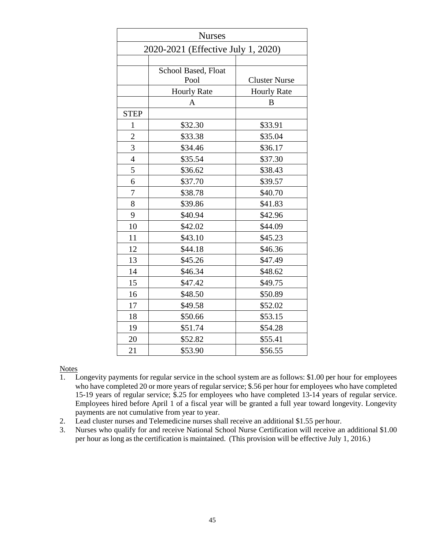| <b>Nurses</b>                      |                             |                      |  |  |  |  |
|------------------------------------|-----------------------------|----------------------|--|--|--|--|
| 2020-2021 (Effective July 1, 2020) |                             |                      |  |  |  |  |
|                                    |                             |                      |  |  |  |  |
|                                    | School Based, Float<br>Pool | <b>Cluster Nurse</b> |  |  |  |  |
|                                    | <b>Hourly Rate</b>          | <b>Hourly Rate</b>   |  |  |  |  |
|                                    | A                           | B                    |  |  |  |  |
| <b>STEP</b>                        |                             |                      |  |  |  |  |
| $\mathbf{1}$                       | \$32.30                     | \$33.91              |  |  |  |  |
| $\overline{c}$                     | \$33.38                     | \$35.04              |  |  |  |  |
| $\overline{3}$                     | \$34.46                     | \$36.17              |  |  |  |  |
| $\overline{4}$                     | \$35.54                     | \$37.30              |  |  |  |  |
| 5                                  | \$36.62                     | \$38.43              |  |  |  |  |
| 6                                  | \$37.70                     | \$39.57              |  |  |  |  |
| $\overline{7}$                     | \$38.78                     | \$40.70              |  |  |  |  |
| 8                                  | \$39.86                     | \$41.83              |  |  |  |  |
| 9                                  | \$40.94                     | \$42.96              |  |  |  |  |
| 10                                 | \$42.02                     | \$44.09              |  |  |  |  |
| 11                                 | \$43.10                     | \$45.23              |  |  |  |  |
| 12                                 | \$44.18                     | \$46.36              |  |  |  |  |
| 13                                 | \$45.26                     | \$47.49              |  |  |  |  |
| 14                                 | \$46.34                     | \$48.62              |  |  |  |  |
| 15                                 | \$47.42                     | \$49.75              |  |  |  |  |
| 16                                 | \$48.50                     | \$50.89              |  |  |  |  |
| 17                                 | \$49.58                     | \$52.02              |  |  |  |  |
| 18                                 | \$50.66                     | \$53.15              |  |  |  |  |
| 19                                 | \$51.74                     | \$54.28              |  |  |  |  |
| 20                                 | \$52.82                     | \$55.41              |  |  |  |  |
| 21                                 | \$53.90                     | \$56.55              |  |  |  |  |

- 1. Longevity payments for regular service in the school system are as follows: \$1.00 per hour for employees who have completed 20 or more years of regular service; \$.56 per hour for employees who have completed Employees hired before April 1 of a fiscal year will be granted a full year toward longevity. Longevity payments are not cumulative from year to year. 15-19 years of regular service; \$.25 for employees who have completed 13-14 years of regular service.
- 2. Lead cluster nurses and Telemedicine nurses shall receive an additional \$1.55 per hour.
- 3. Nurses who qualify for and receive National School Nurse Certification will receive an additional \$1.00 per hour as long as the certification is maintained. (This provision will be effective July 1, 2016.)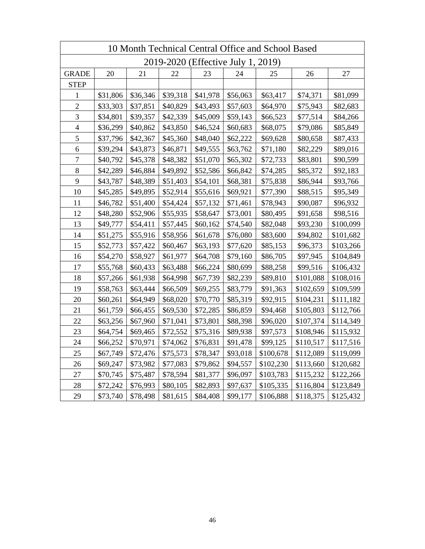| 10 Month Technical Central Office and School Based |          |          |          |                                    |          |           |           |           |
|----------------------------------------------------|----------|----------|----------|------------------------------------|----------|-----------|-----------|-----------|
|                                                    |          |          |          | 2019-2020 (Effective July 1, 2019) |          |           |           |           |
| <b>GRADE</b>                                       | 20       | 21       | 22       | 23                                 | 24       | 25        | 26        | 27        |
| <b>STEP</b>                                        |          |          |          |                                    |          |           |           |           |
| 1                                                  | \$31,806 | \$36,346 | \$39,318 | \$41,978                           | \$56,063 | \$63,417  | \$74,371  | \$81,099  |
| $\overline{c}$                                     | \$33,303 | \$37,851 | \$40,829 | \$43,493                           | \$57,603 | \$64,970  | \$75,943  | \$82,683  |
| $\mathfrak{Z}$                                     | \$34,801 | \$39,357 | \$42,339 | \$45,009                           | \$59,143 | \$66,523  | \$77,514  | \$84,266  |
| $\overline{4}$                                     | \$36,299 | \$40,862 | \$43,850 | \$46,524                           | \$60,683 | \$68,075  | \$79,086  | \$85,849  |
| 5                                                  | \$37,796 | \$42,367 | \$45,360 | \$48,040                           | \$62,222 | \$69,628  | \$80,658  | \$87,433  |
| 6                                                  | \$39,294 | \$43,873 | \$46,871 | \$49,555                           | \$63,762 | \$71,180  | \$82,229  | \$89,016  |
| $\boldsymbol{7}$                                   | \$40,792 | \$45,378 | \$48,382 | \$51,070                           | \$65,302 | \$72,733  | \$83,801  | \$90,599  |
| $8\,$                                              | \$42,289 | \$46,884 | \$49,892 | \$52,586                           | \$66,842 | \$74,285  | \$85,372  | \$92,183  |
| 9                                                  | \$43,787 | \$48,389 | \$51,403 | \$54,101                           | \$68,381 | \$75,838  | \$86,944  | \$93,766  |
| 10                                                 | \$45,285 | \$49,895 | \$52,914 | \$55,616                           | \$69,921 | \$77,390  | \$88,515  | \$95,349  |
| 11                                                 | \$46,782 | \$51,400 | \$54,424 | \$57,132                           | \$71,461 | \$78,943  | \$90,087  | \$96,932  |
| 12                                                 | \$48,280 | \$52,906 | \$55,935 | \$58,647                           | \$73,001 | \$80,495  | \$91,658  | \$98,516  |
| 13                                                 | \$49,777 | \$54,411 | \$57,445 | \$60,162                           | \$74,540 | \$82,048  | \$93,230  | \$100,099 |
| 14                                                 | \$51,275 | \$55,916 | \$58,956 | \$61,678                           | \$76,080 | \$83,600  | \$94,802  | \$101,682 |
| 15                                                 | \$52,773 | \$57,422 | \$60,467 | \$63,193                           | \$77,620 | \$85,153  | \$96,373  | \$103,266 |
| 16                                                 | \$54,270 | \$58,927 | \$61,977 | \$64,708                           | \$79,160 | \$86,705  | \$97,945  | \$104,849 |
| 17                                                 | \$55,768 | \$60,433 | \$63,488 | \$66,224                           | \$80,699 | \$88,258  | \$99,516  | \$106,432 |
| 18                                                 | \$57,266 | \$61,938 | \$64,998 | \$67,739                           | \$82,239 | \$89,810  | \$101,088 | \$108,016 |
| 19                                                 | \$58,763 | \$63,444 | \$66,509 | \$69,255                           | \$83,779 | \$91,363  | \$102,659 | \$109,599 |
| 20                                                 | \$60,261 | \$64,949 | \$68,020 | \$70,770                           | \$85,319 | \$92,915  | \$104,231 | \$111,182 |
| 21                                                 | \$61,759 | \$66,455 | \$69,530 | \$72,285                           | \$86,859 | \$94,468  | \$105,803 | \$112,766 |
| 22                                                 | \$63,256 | \$67,960 | \$71,041 | \$73,801                           | \$88,398 | \$96,020  | \$107,374 | \$114,349 |
| 23                                                 | \$64,754 | \$69,465 | \$72,552 | \$75,316                           | \$89,938 | \$97,573  | \$108,946 | \$115,932 |
| 24                                                 | \$66,252 | \$70,971 | \$74,062 | \$76,831                           | \$91,478 | \$99,125  | \$110,517 | \$117,516 |
| 25                                                 | \$67,749 | \$72,476 | \$75,573 | \$78,347                           | \$93,018 | \$100,678 | \$112,089 | \$119,099 |
| 26                                                 | \$69,247 | \$73,982 | \$77,083 | \$79,862                           | \$94,557 | \$102,230 | \$113,660 | \$120,682 |
| 27                                                 | \$70,745 | \$75,487 | \$78,594 | \$81,377                           | \$96,097 | \$103,783 | \$115,232 | \$122,266 |
| 28                                                 | \$72,242 | \$76,993 | \$80,105 | \$82,893                           | \$97,637 | \$105,335 | \$116,804 | \$123,849 |
| 29                                                 | \$73,740 | \$78,498 | \$81,615 | \$84,408                           | \$99,177 | \$106,888 | \$118,375 | \$125,432 |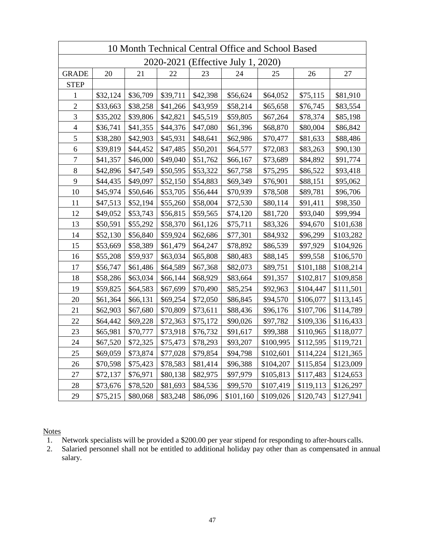|                          | 10 Month Technical Central Office and School Based |          |          |          |                                    |           |           |           |
|--------------------------|----------------------------------------------------|----------|----------|----------|------------------------------------|-----------|-----------|-----------|
|                          |                                                    |          |          |          | 2020-2021 (Effective July 1, 2020) |           |           |           |
| <b>GRADE</b>             | 20                                                 | 21       | 22       | 23       | 24                                 | 25        | 26        | 27        |
| <b>STEP</b>              |                                                    |          |          |          |                                    |           |           |           |
| $\mathbf{1}$             | \$32,124                                           | \$36,709 | \$39,711 | \$42,398 | \$56,624                           | \$64,052  | \$75,115  | \$81,910  |
| $\overline{c}$           | \$33,663                                           | \$38,258 | \$41,266 | \$43,959 | \$58,214                           | \$65,658  | \$76,745  | \$83,554  |
| 3                        | \$35,202                                           | \$39,806 | \$42,821 | \$45,519 | \$59,805                           | \$67,264  | \$78,374  | \$85,198  |
| $\overline{\mathcal{A}}$ | \$36,741                                           | \$41,355 | \$44,376 | \$47,080 | \$61,396                           | \$68,870  | \$80,004  | \$86,842  |
| 5                        | \$38,280                                           | \$42,903 | \$45,931 | \$48,641 | \$62,986                           | \$70,477  | \$81,633  | \$88,486  |
| 6                        | \$39,819                                           | \$44,452 | \$47,485 | \$50,201 | \$64,577                           | \$72,083  | \$83,263  | \$90,130  |
| $\boldsymbol{7}$         | \$41,357                                           | \$46,000 | \$49,040 | \$51,762 | \$66,167                           | \$73,689  | \$84,892  | \$91,774  |
| $8\,$                    | \$42,896                                           | \$47,549 | \$50,595 | \$53,322 | \$67,758                           | \$75,295  | \$86,522  | \$93,418  |
| $\mathbf{9}$             | \$44,435                                           | \$49,097 | \$52,150 | \$54,883 | \$69,349                           | \$76,901  | \$88,151  | \$95,062  |
| 10                       | \$45,974                                           | \$50,646 | \$53,705 | \$56,444 | \$70,939                           | \$78,508  | \$89,781  | \$96,706  |
| 11                       | \$47,513                                           | \$52,194 | \$55,260 | \$58,004 | \$72,530                           | \$80,114  | \$91,411  | \$98,350  |
| 12                       | \$49,052                                           | \$53,743 | \$56,815 | \$59,565 | \$74,120                           | \$81,720  | \$93,040  | \$99,994  |
| 13                       | \$50,591                                           | \$55,292 | \$58,370 | \$61,126 | \$75,711                           | \$83,326  | \$94,670  | \$101,638 |
| 14                       | \$52,130                                           | \$56,840 | \$59,924 | \$62,686 | \$77,301                           | \$84,932  | \$96,299  | \$103,282 |
| 15                       | \$53,669                                           | \$58,389 | \$61,479 | \$64,247 | \$78,892                           | \$86,539  | \$97,929  | \$104,926 |
| 16                       | \$55,208                                           | \$59,937 | \$63,034 | \$65,808 | \$80,483                           | \$88,145  | \$99,558  | \$106,570 |
| 17                       | \$56,747                                           | \$61,486 | \$64,589 | \$67,368 | \$82,073                           | \$89,751  | \$101,188 | \$108,214 |
| 18                       | \$58,286                                           | \$63,034 | \$66,144 | \$68,929 | \$83,664                           | \$91,357  | \$102,817 | \$109,858 |
| 19                       | \$59,825                                           | \$64,583 | \$67,699 | \$70,490 | \$85,254                           | \$92,963  | \$104,447 | \$111,501 |
| 20                       | \$61,364                                           | \$66,131 | \$69,254 | \$72,050 | \$86,845                           | \$94,570  | \$106,077 | \$113,145 |
| 21                       | \$62,903                                           | \$67,680 | \$70,809 | \$73,611 | \$88,436                           | \$96,176  | \$107,706 | \$114,789 |
| 22                       | \$64,442                                           | \$69,228 | \$72,363 | \$75,172 | \$90,026                           | \$97,782  | \$109,336 | \$116,433 |
| 23                       | \$65,981                                           | \$70,777 | \$73,918 | \$76,732 | \$91,617                           | \$99,388  | \$110,965 | \$118,077 |
| 24                       | \$67,520                                           | \$72,325 | \$75,473 | \$78,293 | \$93,207                           | \$100,995 | \$112,595 | \$119,721 |
| 25                       | \$69,059                                           | \$73,874 | \$77,028 | \$79,854 | \$94,798                           | \$102,601 | \$114,224 | \$121,365 |
| 26                       | \$70,598                                           | \$75,423 | \$78,583 | \$81,414 | \$96,388                           | \$104,207 | \$115,854 | \$123,009 |
| 27                       | \$72,137                                           | \$76,971 | \$80,138 | \$82,975 | \$97,979                           | \$105,813 | \$117,483 | \$124,653 |
| 28                       | \$73,676                                           | \$78,520 | \$81,693 | \$84,536 | \$99,570                           | \$107,419 | \$119,113 | \$126,297 |
| 29                       | \$75,215                                           | \$80,068 | \$83,248 | \$86,096 | \$101,160                          | \$109,026 | \$120,743 | \$127,941 |

- 1. Network specialists will be provided a \$200.00 per year stipend for responding to after-hours calls.
- 2. Salaried personnel shall not be entitled to additional holiday pay other than as compensated in annual salary.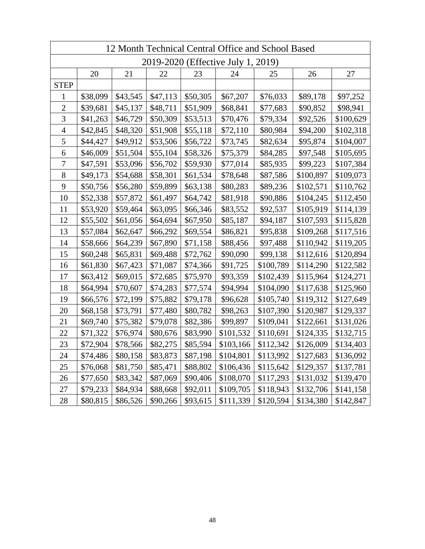| 12 Month Technical Central Office and School Based |                                    |          |          |          |           |           |           |           |
|----------------------------------------------------|------------------------------------|----------|----------|----------|-----------|-----------|-----------|-----------|
|                                                    | 2019-2020 (Effective July 1, 2019) |          |          |          |           |           |           |           |
|                                                    | 20                                 | 21       | 22       | 23       | 24        | 25        | 26        | 27        |
| <b>STEP</b>                                        |                                    |          |          |          |           |           |           |           |
| 1                                                  | \$38,099                           | \$43,545 | \$47,113 | \$50,305 | \$67,207  | \$76,033  | \$89,178  | \$97,252  |
| $\overline{2}$                                     | \$39,681                           | \$45,137 | \$48,711 | \$51,909 | \$68,841  | \$77,683  | \$90,852  | \$98,941  |
| 3                                                  | \$41,263                           | \$46,729 | \$50,309 | \$53,513 | \$70,476  | \$79,334  | \$92,526  | \$100,629 |
| $\overline{4}$                                     | \$42,845                           | \$48,320 | \$51,908 | \$55,118 | \$72,110  | \$80,984  | \$94,200  | \$102,318 |
| 5                                                  | \$44,427                           | \$49,912 | \$53,506 | \$56,722 | \$73,745  | \$82,634  | \$95,874  | \$104,007 |
| 6                                                  | \$46,009                           | \$51,504 | \$55,104 | \$58,326 | \$75,379  | \$84,285  | \$97,548  | \$105,695 |
| $\overline{7}$                                     | \$47,591                           | \$53,096 | \$56,702 | \$59,930 | \$77,014  | \$85,935  | \$99,223  | \$107,384 |
| $8\,$                                              | \$49,173                           | \$54,688 | \$58,301 | \$61,534 | \$78,648  | \$87,586  | \$100,897 | \$109,073 |
| 9                                                  | \$50,756                           | \$56,280 | \$59,899 | \$63,138 | \$80,283  | \$89,236  | \$102,571 | \$110,762 |
| 10                                                 | \$52,338                           | \$57,872 | \$61,497 | \$64,742 | \$81,918  | \$90,886  | \$104,245 | \$112,450 |
| 11                                                 | \$53,920                           | \$59,464 | \$63,095 | \$66,346 | \$83,552  | \$92,537  | \$105,919 | \$114,139 |
| 12                                                 | \$55,502                           | \$61,056 | \$64,694 | \$67,950 | \$85,187  | \$94,187  | \$107,593 | \$115,828 |
| 13                                                 | \$57,084                           | \$62,647 | \$66,292 | \$69,554 | \$86,821  | \$95,838  | \$109,268 | \$117,516 |
| 14                                                 | \$58,666                           | \$64,239 | \$67,890 | \$71,158 | \$88,456  | \$97,488  | \$110,942 | \$119,205 |
| 15                                                 | \$60,248                           | \$65,831 | \$69,488 | \$72,762 | \$90,090  | \$99,138  | \$112,616 | \$120,894 |
| 16                                                 | \$61,830                           | \$67,423 | \$71,087 | \$74,366 | \$91,725  | \$100,789 | \$114,290 | \$122,582 |
| 17                                                 | \$63,412                           | \$69,015 | \$72,685 | \$75,970 | \$93,359  | \$102,439 | \$115,964 | \$124,271 |
| 18                                                 | \$64,994                           | \$70,607 | \$74,283 | \$77,574 | \$94,994  | \$104,090 | \$117,638 | \$125,960 |
| 19                                                 | \$66,576                           | \$72,199 | \$75,882 | \$79,178 | \$96,628  | \$105,740 | \$119,312 | \$127,649 |
| 20                                                 | \$68,158                           | \$73,791 | \$77,480 | \$80,782 | \$98,263  | \$107,390 | \$120,987 | \$129,337 |
| 21                                                 | \$69,740                           | \$75,382 | \$79,078 | \$82,386 | \$99,897  | \$109,041 | \$122,661 | \$131,026 |
| 22                                                 | \$71,322                           | \$76,974 | \$80,676 | \$83,990 | \$101,532 | \$110,691 | \$124,335 | \$132,715 |
| 23                                                 | \$72,904                           | \$78,566 | \$82,275 | \$85,594 | \$103,166 | \$112,342 | \$126,009 | \$134,403 |
| 24                                                 | \$74,486                           | \$80,158 | \$83,873 | \$87,198 | \$104,801 | \$113,992 | \$127,683 | \$136,092 |
| 25                                                 | \$76,068                           | \$81,750 | \$85,471 | \$88,802 | \$106,436 | \$115,642 | \$129,357 | \$137,781 |
| 26                                                 | \$77,650                           | \$83,342 | \$87,069 | \$90,406 | \$108,070 | \$117,293 | \$131,032 | \$139,470 |
| 27                                                 | \$79,233                           | \$84,934 | \$88,668 | \$92,011 | \$109,705 | \$118,943 | \$132,706 | \$141,158 |
| 28                                                 | \$80,815                           | \$86,526 | \$90,266 | \$93,615 | \$111,339 | \$120,594 | \$134,380 | \$142,847 |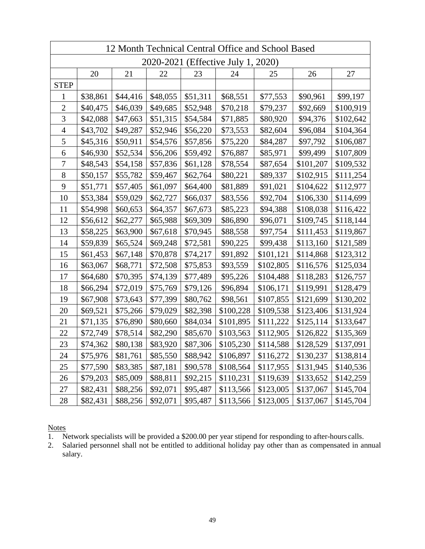|                  | 12 Month Technical Central Office and School Based |          |          |          |           |           |           |           |
|------------------|----------------------------------------------------|----------|----------|----------|-----------|-----------|-----------|-----------|
|                  | 2020-2021 (Effective July 1, 2020)                 |          |          |          |           |           |           |           |
|                  | 20                                                 | 21       | 22       | 23       | 24        | 25        | 26        | 27        |
| <b>STEP</b>      |                                                    |          |          |          |           |           |           |           |
| 1                | \$38,861                                           | \$44,416 | \$48,055 | \$51,311 | \$68,551  | \$77,553  | \$90,961  | \$99,197  |
| $\overline{2}$   | \$40,475                                           | \$46,039 | \$49,685 | \$52,948 | \$70,218  | \$79,237  | \$92,669  | \$100,919 |
| 3                | \$42,088                                           | \$47,663 | \$51,315 | \$54,584 | \$71,885  | \$80,920  | \$94,376  | \$102,642 |
| $\overline{4}$   | \$43,702                                           | \$49,287 | \$52,946 | \$56,220 | \$73,553  | \$82,604  | \$96,084  | \$104,364 |
| 5                | \$45,316                                           | \$50,911 | \$54,576 | \$57,856 | \$75,220  | \$84,287  | \$97,792  | \$106,087 |
| 6                | \$46,930                                           | \$52,534 | \$56,206 | \$59,492 | \$76,887  | \$85,971  | \$99,499  | \$107,809 |
| $\boldsymbol{7}$ | \$48,543                                           | \$54,158 | \$57,836 | \$61,128 | \$78,554  | \$87,654  | \$101,207 | \$109,532 |
| 8                | \$50,157                                           | \$55,782 | \$59,467 | \$62,764 | \$80,221  | \$89,337  | \$102,915 | \$111,254 |
| 9                | \$51,771                                           | \$57,405 | \$61,097 | \$64,400 | \$81,889  | \$91,021  | \$104,622 | \$112,977 |
| 10               | \$53,384                                           | \$59,029 | \$62,727 | \$66,037 | \$83,556  | \$92,704  | \$106,330 | \$114,699 |
| 11               | \$54,998                                           | \$60,653 | \$64,357 | \$67,673 | \$85,223  | \$94,388  | \$108,038 | \$116,422 |
| 12               | \$56,612                                           | \$62,277 | \$65,988 | \$69,309 | \$86,890  | \$96,071  | \$109,745 | \$118,144 |
| 13               | \$58,225                                           | \$63,900 | \$67,618 | \$70,945 | \$88,558  | \$97,754  | \$111,453 | \$119,867 |
| 14               | \$59,839                                           | \$65,524 | \$69,248 | \$72,581 | \$90,225  | \$99,438  | \$113,160 | \$121,589 |
| 15               | \$61,453                                           | \$67,148 | \$70,878 | \$74,217 | \$91,892  | \$101,121 | \$114,868 | \$123,312 |
| 16               | \$63,067                                           | \$68,771 | \$72,508 | \$75,853 | \$93,559  | \$102,805 | \$116,576 | \$125,034 |
| 17               | \$64,680                                           | \$70,395 | \$74,139 | \$77,489 | \$95,226  | \$104,488 | \$118,283 | \$126,757 |
| 18               | \$66,294                                           | \$72,019 | \$75,769 | \$79,126 | \$96,894  | \$106,171 | \$119,991 | \$128,479 |
| 19               | \$67,908                                           | \$73,643 | \$77,399 | \$80,762 | \$98,561  | \$107,855 | \$121,699 | \$130,202 |
| 20               | \$69,521                                           | \$75,266 | \$79,029 | \$82,398 | \$100,228 | \$109,538 | \$123,406 | \$131,924 |
| 21               | \$71,135                                           | \$76,890 | \$80,660 | \$84,034 | \$101,895 | \$111,222 | \$125,114 | \$133,647 |
| 22               | \$72,749                                           | \$78,514 | \$82,290 | \$85,670 | \$103,563 | \$112,905 | \$126,822 | \$135,369 |
| 23               | \$74,362                                           | \$80,138 | \$83,920 | \$87,306 | \$105,230 | \$114,588 | \$128,529 | \$137,091 |
| 24               | \$75,976                                           | \$81,761 | \$85,550 | \$88,942 | \$106,897 | \$116,272 | \$130,237 | \$138,814 |
| 25               | \$77,590                                           | \$83,385 | \$87,181 | \$90,578 | \$108,564 | \$117,955 | \$131,945 | \$140,536 |
| 26               | \$79,203                                           | \$85,009 | \$88,811 | \$92,215 | \$110,231 | \$119,639 | \$133,652 | \$142,259 |
| 27               | \$82,431                                           | \$88,256 | \$92,071 | \$95,487 | \$113,566 | \$123,005 | \$137,067 | \$145,704 |
| 28               | \$82,431                                           | \$88,256 | \$92,071 | \$95,487 | \$113,566 | \$123,005 | \$137,067 | \$145,704 |

- $\overline{\phantom{a}}$ 1. Network specialists will be provided a \$200.00 per year stipend for responding to after-hours calls.
- 2. Salaried personnel shall not be entitled to additional holiday pay other than as compensated in annual salary.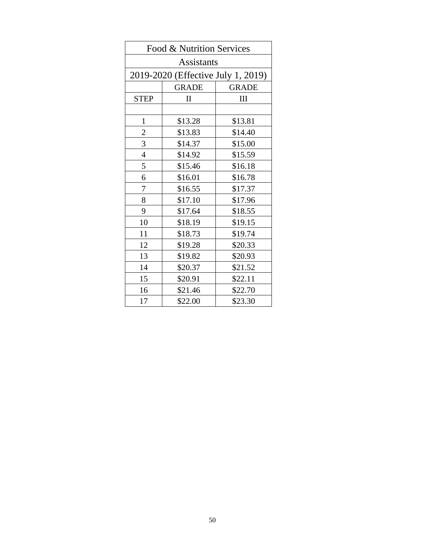| Food & Nutrition Services          |              |              |  |  |  |  |  |
|------------------------------------|--------------|--------------|--|--|--|--|--|
| <b>Assistants</b>                  |              |              |  |  |  |  |  |
| 2019-2020 (Effective July 1, 2019) |              |              |  |  |  |  |  |
|                                    | <b>GRADE</b> | <b>GRADE</b> |  |  |  |  |  |
| <b>STEP</b>                        | $\mathbf{I}$ | III          |  |  |  |  |  |
|                                    |              |              |  |  |  |  |  |
| $\mathbf{1}$                       | \$13.28      | \$13.81      |  |  |  |  |  |
| $\overline{c}$                     | \$13.83      | \$14.40      |  |  |  |  |  |
| 3                                  | \$14.37      | \$15.00      |  |  |  |  |  |
| $\overline{4}$                     | \$14.92      | \$15.59      |  |  |  |  |  |
| 5                                  | \$15.46      | \$16.18      |  |  |  |  |  |
| 6                                  | \$16.01      | \$16.78      |  |  |  |  |  |
| 7                                  | \$16.55      | \$17.37      |  |  |  |  |  |
| 8                                  | \$17.10      | \$17.96      |  |  |  |  |  |
| 9                                  | \$17.64      | \$18.55      |  |  |  |  |  |
| 10                                 | \$18.19      | \$19.15      |  |  |  |  |  |
| 11                                 | \$18.73      | \$19.74      |  |  |  |  |  |
| 12                                 | \$19.28      | \$20.33      |  |  |  |  |  |
| 13                                 | \$19.82      | \$20.93      |  |  |  |  |  |
| 14                                 | \$20.37      | \$21.52      |  |  |  |  |  |
| 15                                 | \$20.91      | \$22.11      |  |  |  |  |  |
| 16                                 | \$21.46      | \$22.70      |  |  |  |  |  |
| 17                                 | \$22.00      | \$23.30      |  |  |  |  |  |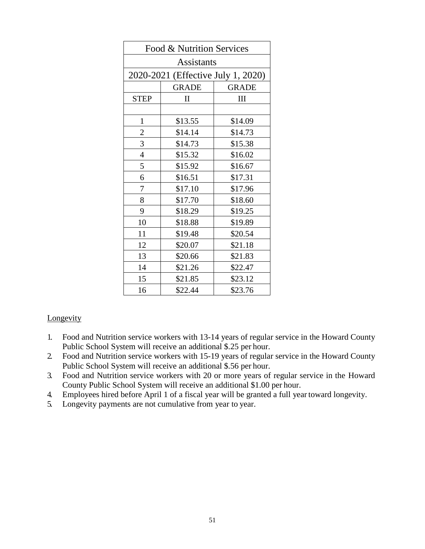| Food & Nutrition Services          |              |              |  |  |  |  |  |
|------------------------------------|--------------|--------------|--|--|--|--|--|
| <b>Assistants</b>                  |              |              |  |  |  |  |  |
| 2020-2021 (Effective July 1, 2020) |              |              |  |  |  |  |  |
|                                    | <b>GRADE</b> | <b>GRADE</b> |  |  |  |  |  |
| <b>STEP</b>                        | $\mathbf{I}$ | III          |  |  |  |  |  |
|                                    |              |              |  |  |  |  |  |
| $\mathbf{1}$                       | \$13.55      | \$14.09      |  |  |  |  |  |
| $\overline{\mathbf{c}}$            | \$14.14      | \$14.73      |  |  |  |  |  |
| 3                                  | \$14.73      | \$15.38      |  |  |  |  |  |
| $\overline{4}$                     | \$15.32      | \$16.02      |  |  |  |  |  |
| 5                                  | \$15.92      | \$16.67      |  |  |  |  |  |
| 6                                  | \$16.51      | \$17.31      |  |  |  |  |  |
| 7                                  | \$17.10      | \$17.96      |  |  |  |  |  |
| 8                                  | \$17.70      | \$18.60      |  |  |  |  |  |
| 9                                  | \$18.29      | \$19.25      |  |  |  |  |  |
| 10                                 | \$18.88      | \$19.89      |  |  |  |  |  |
| 11                                 | \$19.48      | \$20.54      |  |  |  |  |  |
| 12                                 | \$20.07      | \$21.18      |  |  |  |  |  |
| 13                                 | \$20.66      | \$21.83      |  |  |  |  |  |
| 14                                 | \$21.26      | \$22.47      |  |  |  |  |  |
| 15                                 | \$21.85      | \$23.12      |  |  |  |  |  |
| 16                                 | \$22.44      | \$23.76      |  |  |  |  |  |

### Longevity

- Public School System will receive an additional \$.25 per hour. 1. Food and Nutrition service workers with 13-14 years of regular service in the Howard County
- Public School System will receive an additional \$.56 per hour. 2. Food and Nutrition service workers with 15-19 years of regular service in the Howard County
- 3. Food and Nutrition service workers with 20 or more years of regular service in the Howard County Public School System will receive an additional \$1.00 per hour.
- 4. Employees hired before April 1 of a fiscal year will be granted a full year toward longevity.
- 5. Longevity payments are not cumulative from year to year.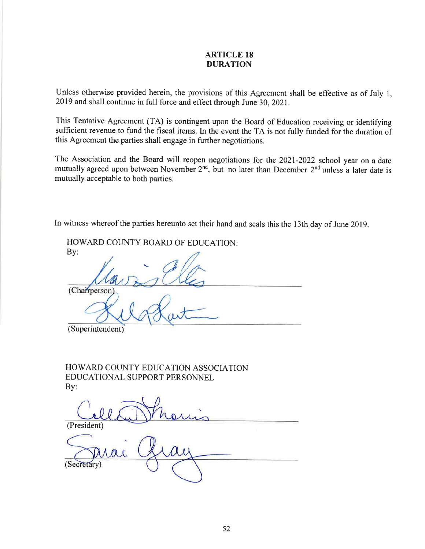#### **ARTICLE 18 DURATION**

Unless otherwise provided herein, the provisions of this Agreement shall be effective as of July 1, 2019 and shall continue in full force and effect through June 30, 2021.

This Tentative Agreement (TA) is contingent upon the Board of Education receiving or identifying sufficient revenue to fund the fiscal items. In the event the TA is not fully funded for the duration of this Agreement the parties shall engage in further negotiations.

The Association and the Board will reopen negotiations for the 2021-2022 school year on a date mutually agreed upon between November 2<sup>nd</sup>, but no later than December 2<sup>nd</sup> unless a later date is mutually acceptable to both parties.

In witness whereof the parties hereunto set their hand and seals this the 13th\_day of June 2019.

HOWARD COUNTY BOARD OF EDUCATION: By: (Chairperson (Superintendent)

**HOWARD COUNTY EDUCATION ASSOCIATION** EDUCATIONAL SUPPORT PERSONNEL By:

(President)

retary)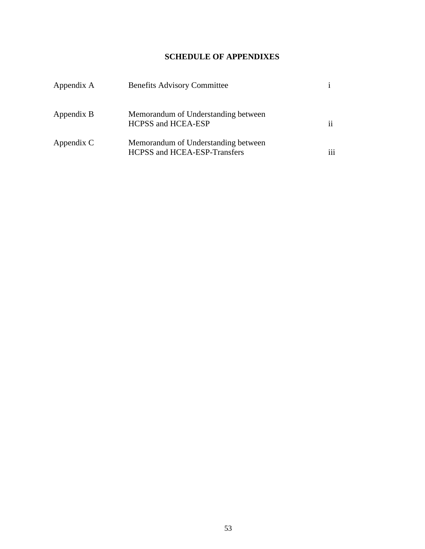## **SCHEDULE OF APPENDIXES**

<span id="page-54-0"></span>

| Appendix A | <b>Benefits Advisory Committee</b>                                                |     |
|------------|-----------------------------------------------------------------------------------|-----|
| Appendix B | Memorandum of Understanding between<br><b>HCPSS and HCEA-ESP</b>                  | ii  |
| Appendix C | Memorandum of Understanding between<br><b>HCPSS</b> and <b>HCEA-ESP-Transfers</b> | iii |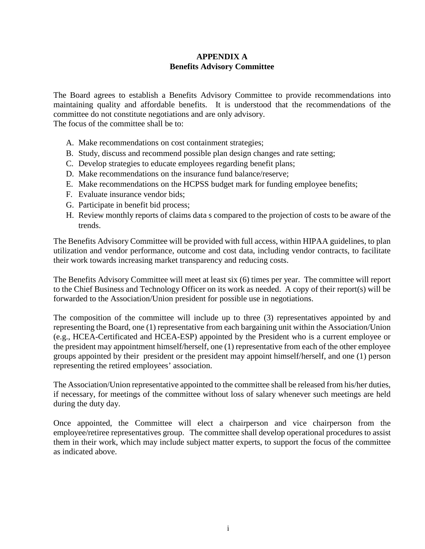## **APPENDIX A Benefits Advisory Committee**

<span id="page-55-0"></span>The Board agrees to establish a Benefits Advisory Committee to provide recommendations into maintaining quality and affordable benefits. It is understood that the recommendations of the committee do not constitute negotiations and are only advisory.

The focus of the committee shall be to:

- A. Make recommendations on cost containment strategies;
- B. Study, discuss and recommend possible plan design changes and rate setting;
- C. Develop strategies to educate employees regarding benefit plans;
- D. Make recommendations on the insurance fund balance/reserve;
- E. Make recommendations on the HCPSS budget mark for funding employee benefits;
- F. Evaluate insurance vendor bids;
- G. Participate in benefit bid process;
- H. Review monthly reports of claims data s compared to the projection of costs to be aware of the trends.

 their work towards increasing market transparency and reducing costs. The Benefits Advisory Committee will be provided with full access, within HIPAA guidelines, to plan utilization and vendor performance, outcome and cost data, including vendor contracts, to facilitate

 The Benefits Advisory Committee will meet at least six (6) times per year. The committee will report to the Chief Business and Technology Officer on its work as needed. A copy of their report(s) will be forwarded to the Association/Union president for possible use in negotiations.

 the president may appointment himself/herself, one (1) representative from each of the other employee groups appointed by their president or the president may appoint himself/herself, and one (1) person The composition of the committee will include up to three (3) representatives appointed by and representing the Board, one (1) representative from each bargaining unit within the Association/Union (e.g., HCEA-Certificated and HCEA-ESP) appointed by the President who is a current employee or representing the retired employees' association.

The Association/Union representative appointed to the committee shall be released from his/her duties, if necessary, for meetings of the committee without loss of salary whenever such meetings are held during the duty day.

 them in their work, which may include subject matter experts, to support the focus of the committee Once appointed, the Committee will elect a chairperson and vice chairperson from the employee/retiree representatives group. The committee shall develop operational procedures to assist as indicated above.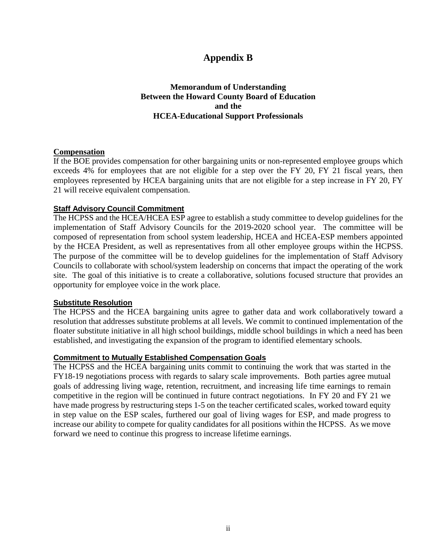# **Appendix B**

### **Between the Howard County Board of Education Memorandum of Understanding and the HCEA-Educational Support Professionals**

#### <span id="page-56-0"></span>**Compensation**

 exceeds 4% for employees that are not eligible for a step over the FY 20, FY 21 fiscal years, then If the BOE provides compensation for other bargaining units or non-represented employee groups which employees represented by HCEA bargaining units that are not eligible for a step increase in FY 20, FY 21 will receive equivalent compensation.

#### **Staff Advisory Council Commitment**

 implementation of Staff Advisory Councils for the 2019-2020 school year. The committee will be The HCPSS and the HCEA/HCEA ESP agree to establish a study committee to develop guidelines for the composed of representation from school system leadership, HCEA and HCEA-ESP members appointed by the HCEA President, as well as representatives from all other employee groups within the HCPSS. The purpose of the committee will be to develop guidelines for the implementation of Staff Advisory Councils to collaborate with school/system leadership on concerns that impact the operating of the work site. The goal of this initiative is to create a collaborative, solutions focused structure that provides an opportunity for employee voice in the work place.

#### **Substitute Resolution**

The HCPSS and the HCEA bargaining units agree to gather data and work collaboratively toward a resolution that addresses substitute problems at all levels. We commit to continued implementation of the floater substitute initiative in all high school buildings, middle school buildings in which a need has been established, and investigating the expansion of the program to identified elementary schools.

#### **Commitment to Mutually Established Compensation Goals**

 increase our ability to compete for quality candidates for all positions within the HCPSS. As we move The HCPSS and the HCEA bargaining units commit to continuing the work that was started in the FY18-19 negotiations process with regards to salary scale improvements. Both parties agree mutual goals of addressing living wage, retention, recruitment, and increasing life time earnings to remain competitive in the region will be continued in future contract negotiations. In FY 20 and FY 21 we have made progress by restructuring steps 1-5 on the teacher certificated scales, worked toward equity in step value on the ESP scales, furthered our goal of living wages for ESP, and made progress to forward we need to continue this progress to increase lifetime earnings.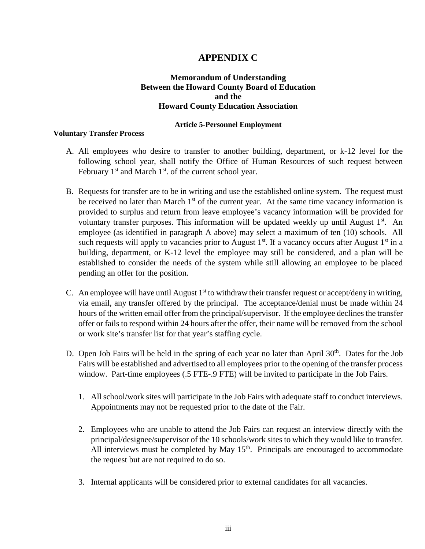# **APPENDIX C**

#### **Between the Howard County Board of Education Memorandum of Understanding and the Howard County Education Association**

#### **Article 5-Personnel Employment**

#### <span id="page-57-0"></span>**Voluntary Transfer Process**

- A. All employees who desire to transfer to another building, department, or k-12 level for the February  $1<sup>st</sup>$  and March  $1<sup>st</sup>$ . of the current school year. following school year, shall notify the Office of Human Resources of such request between
- such requests will apply to vacancies prior to August  $1<sup>st</sup>$ . If a vacancy occurs after August  $1<sup>st</sup>$  in a pending an offer for the position. B. Requests for transfer are to be in writing and use the established online system. The request must be received no later than March  $1<sup>st</sup>$  of the current year. At the same time vacancy information is provided to surplus and return from leave employee's vacancy information will be provided for voluntary transfer purposes. This information will be updated weekly up until August  $1<sup>st</sup>$ . An employee (as identified in paragraph A above) may select a maximum of ten (10) schools. All building, department, or K-12 level the employee may still be considered, and a plan will be established to consider the needs of the system while still allowing an employee to be placed
- or work site's transfer list for that year's staffing cycle. C. An employee will have until August  $1<sup>st</sup>$  to withdraw their transfer request or accept/deny in writing, via email, any transfer offered by the principal. The acceptance/denial must be made within 24 hours of the written email offer from the principal/supervisor. If the employee declines the transfer offer or fails to respond within 24 hours after the offer, their name will be removed from the school
- D. Open Job Fairs will be held in the spring of each year no later than April  $30<sup>th</sup>$ . Dates for the Job Fairs will be established and advertised to all employees prior to the opening of the transfer process window. Part-time employees (.5 FTE-.9 FTE) will be invited to participate in the Job Fairs.
	- 1. All school/work sites will participate in the Job Fairs with adequate staff to conduct interviews. Appointments may not be requested prior to the date of the Fair. Appointments may not be requested prior to the date of the Fair.
	- principal/designee/supervisor of the 10 schools/work sites to which they would like to transfer. 2. Employees who are unable to attend the Job Fairs can request an interview directly with the All interviews must be completed by May  $15<sup>th</sup>$ . Principals are encouraged to accommodate the request but are not required to do so.
	- 3. Internal applicants will be considered prior to external candidates for all vacancies.